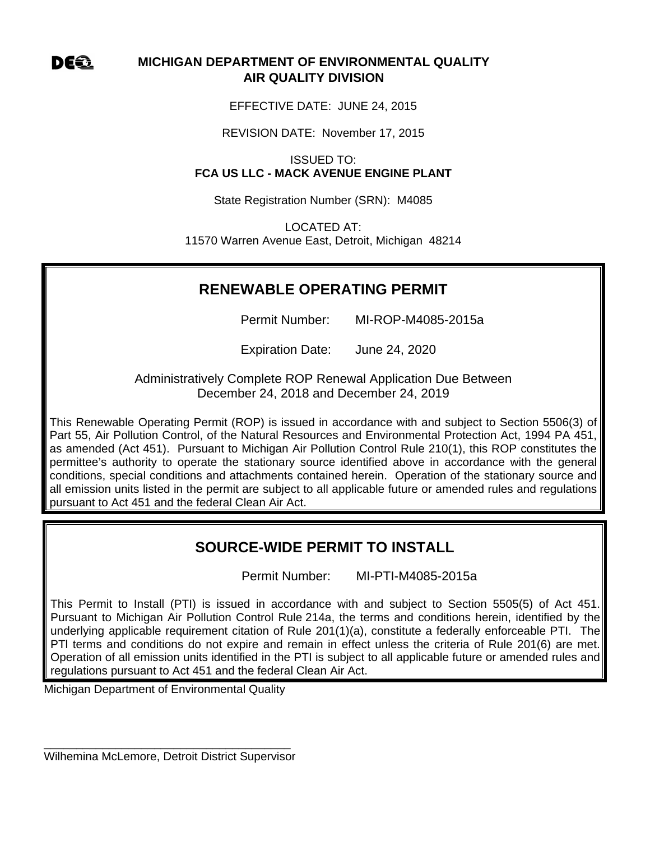DE Q

# **MICHIGAN DEPARTMENT OF ENVIRONMENTAL QUALITY AIR QUALITY DIVISION**

EFFECTIVE DATE: JUNE 24, 2015

REVISION DATE: November 17, 2015

ISSUED TO: **FCA US LLC - MACK AVENUE ENGINE PLANT** 

State Registration Number (SRN): M4085

LOCATED AT: 11570 Warren Avenue East, Detroit, Michigan 48214

# **RENEWABLE OPERATING PERMIT**

Permit Number: MI-ROP-M4085-2015a

Expiration Date: June 24, 2020

Administratively Complete ROP Renewal Application Due Between December 24, 2018 and December 24, 2019

This Renewable Operating Permit (ROP) is issued in accordance with and subject to Section 5506(3) of Part 55, Air Pollution Control, of the Natural Resources and Environmental Protection Act, 1994 PA 451, as amended (Act 451). Pursuant to Michigan Air Pollution Control Rule 210(1), this ROP constitutes the permittee's authority to operate the stationary source identified above in accordance with the general conditions, special conditions and attachments contained herein. Operation of the stationary source and all emission units listed in the permit are subject to all applicable future or amended rules and regulations pursuant to Act 451 and the federal Clean Air Act.

# **SOURCE-WIDE PERMIT TO INSTALL**

Permit Number: MI-PTI-M4085-2015a

This Permit to Install (PTI) is issued in accordance with and subject to Section 5505(5) of Act 451. Pursuant to Michigan Air Pollution Control Rule 214a, the terms and conditions herein, identified by the underlying applicable requirement citation of Rule 201(1)(a), constitute a federally enforceable PTI. The PTl terms and conditions do not expire and remain in effect unless the criteria of Rule 201(6) are met. Operation of all emission units identified in the PTI is subject to all applicable future or amended rules and regulations pursuant to Act 451 and the federal Clean Air Act.

Michigan Department of Environmental Quality

\_\_\_\_\_\_\_\_\_\_\_\_\_\_\_\_\_\_\_\_\_\_\_\_\_\_\_\_\_\_\_\_\_\_\_\_\_\_ Wilhemina McLemore, Detroit District Supervisor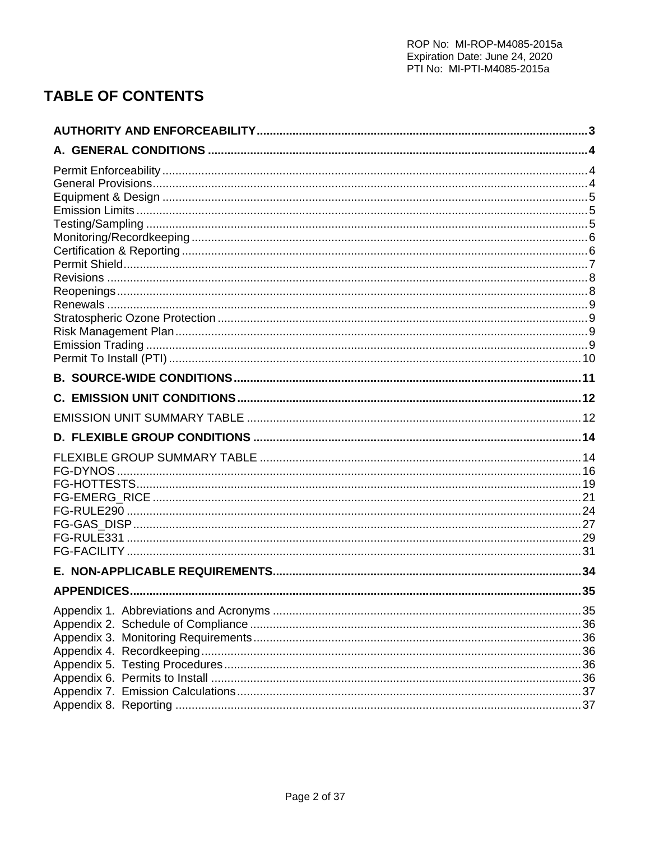# **TABLE OF CONTENTS**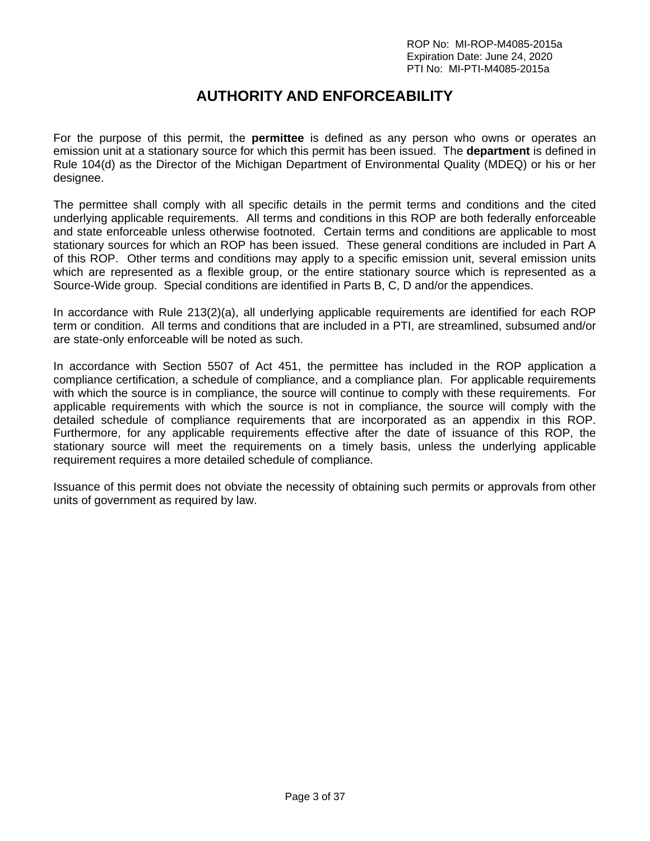# **AUTHORITY AND ENFORCEABILITY**

For the purpose of this permit, the **permittee** is defined as any person who owns or operates an emission unit at a stationary source for which this permit has been issued. The **department** is defined in Rule 104(d) as the Director of the Michigan Department of Environmental Quality (MDEQ) or his or her designee.

The permittee shall comply with all specific details in the permit terms and conditions and the cited underlying applicable requirements. All terms and conditions in this ROP are both federally enforceable and state enforceable unless otherwise footnoted. Certain terms and conditions are applicable to most stationary sources for which an ROP has been issued. These general conditions are included in Part A of this ROP. Other terms and conditions may apply to a specific emission unit, several emission units which are represented as a flexible group, or the entire stationary source which is represented as a Source-Wide group. Special conditions are identified in Parts B, C, D and/or the appendices.

In accordance with Rule 213(2)(a), all underlying applicable requirements are identified for each ROP term or condition. All terms and conditions that are included in a PTI, are streamlined, subsumed and/or are state-only enforceable will be noted as such.

In accordance with Section 5507 of Act 451, the permittee has included in the ROP application a compliance certification, a schedule of compliance, and a compliance plan. For applicable requirements with which the source is in compliance, the source will continue to comply with these requirements. For applicable requirements with which the source is not in compliance, the source will comply with the detailed schedule of compliance requirements that are incorporated as an appendix in this ROP. Furthermore, for any applicable requirements effective after the date of issuance of this ROP, the stationary source will meet the requirements on a timely basis, unless the underlying applicable requirement requires a more detailed schedule of compliance.

Issuance of this permit does not obviate the necessity of obtaining such permits or approvals from other units of government as required by law.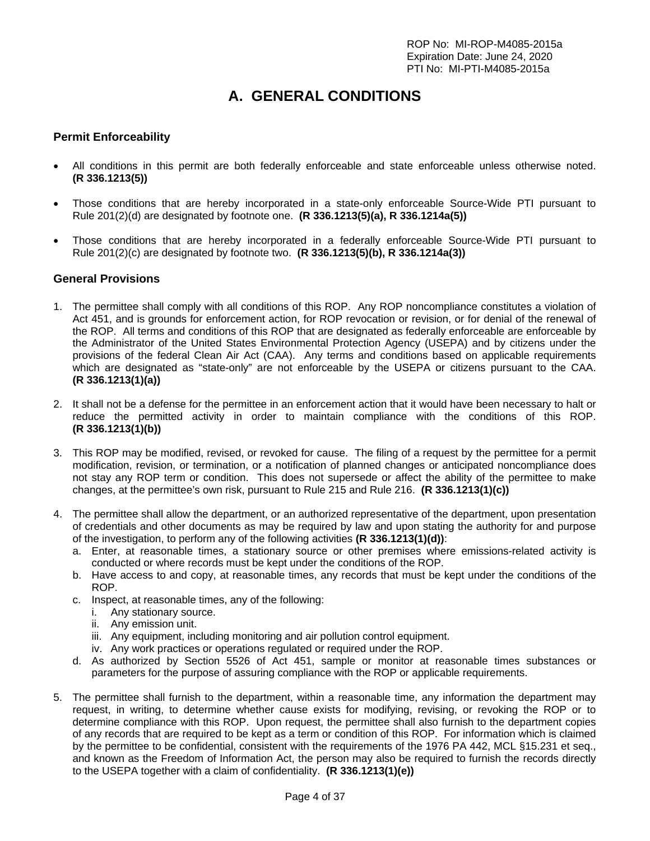# **A. GENERAL CONDITIONS**

# **Permit Enforceability**

- All conditions in this permit are both federally enforceable and state enforceable unless otherwise noted. **(R 336.1213(5))**
- Those conditions that are hereby incorporated in a state-only enforceable Source-Wide PTI pursuant to Rule 201(2)(d) are designated by footnote one. **(R 336.1213(5)(a), R 336.1214a(5))**
- Those conditions that are hereby incorporated in a federally enforceable Source-Wide PTI pursuant to Rule 201(2)(c) are designated by footnote two. **(R 336.1213(5)(b), R 336.1214a(3))**

#### **General Provisions**

- 1. The permittee shall comply with all conditions of this ROP. Any ROP noncompliance constitutes a violation of Act 451, and is grounds for enforcement action, for ROP revocation or revision, or for denial of the renewal of the ROP. All terms and conditions of this ROP that are designated as federally enforceable are enforceable by the Administrator of the United States Environmental Protection Agency (USEPA) and by citizens under the provisions of the federal Clean Air Act (CAA). Any terms and conditions based on applicable requirements which are designated as "state-only" are not enforceable by the USEPA or citizens pursuant to the CAA. **(R 336.1213(1)(a))**
- 2. It shall not be a defense for the permittee in an enforcement action that it would have been necessary to halt or reduce the permitted activity in order to maintain compliance with the conditions of this ROP. **(R 336.1213(1)(b))**
- 3. This ROP may be modified, revised, or revoked for cause. The filing of a request by the permittee for a permit modification, revision, or termination, or a notification of planned changes or anticipated noncompliance does not stay any ROP term or condition. This does not supersede or affect the ability of the permittee to make changes, at the permittee's own risk, pursuant to Rule 215 and Rule 216. **(R 336.1213(1)(c))**
- 4. The permittee shall allow the department, or an authorized representative of the department, upon presentation of credentials and other documents as may be required by law and upon stating the authority for and purpose of the investigation, to perform any of the following activities **(R 336.1213(1)(d))**:
	- a. Enter, at reasonable times, a stationary source or other premises where emissions-related activity is conducted or where records must be kept under the conditions of the ROP.
	- b. Have access to and copy, at reasonable times, any records that must be kept under the conditions of the ROP.
	- c. Inspect, at reasonable times, any of the following:
		- i. Any stationary source.
		- ii. Any emission unit.
		- iii. Any equipment, including monitoring and air pollution control equipment.
		- iv. Any work practices or operations regulated or required under the ROP.
	- d. As authorized by Section 5526 of Act 451, sample or monitor at reasonable times substances or parameters for the purpose of assuring compliance with the ROP or applicable requirements.
- 5. The permittee shall furnish to the department, within a reasonable time, any information the department may request, in writing, to determine whether cause exists for modifying, revising, or revoking the ROP or to determine compliance with this ROP. Upon request, the permittee shall also furnish to the department copies of any records that are required to be kept as a term or condition of this ROP. For information which is claimed by the permittee to be confidential, consistent with the requirements of the 1976 PA 442, MCL §15.231 et seq., and known as the Freedom of Information Act, the person may also be required to furnish the records directly to the USEPA together with a claim of confidentiality. **(R 336.1213(1)(e))**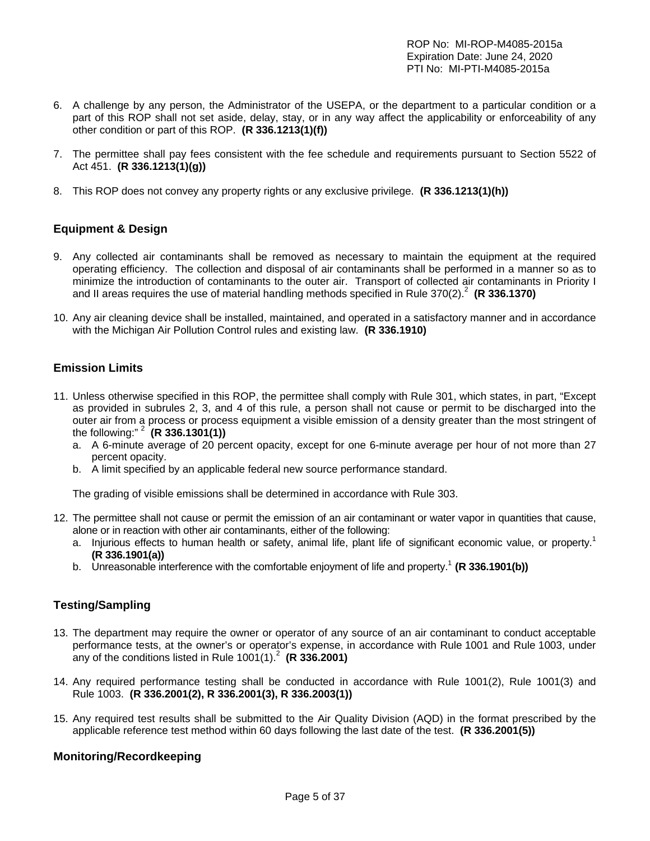ROP No: MI-ROP-M4085-2015a Expiration Date: June 24, 2020 PTI No: MI-PTI-M4085-2015a

- 6. A challenge by any person, the Administrator of the USEPA, or the department to a particular condition or a part of this ROP shall not set aside, delay, stay, or in any way affect the applicability or enforceability of any other condition or part of this ROP. **(R 336.1213(1)(f))**
- 7. The permittee shall pay fees consistent with the fee schedule and requirements pursuant to Section 5522 of Act 451. **(R 336.1213(1)(g))**
- 8. This ROP does not convey any property rights or any exclusive privilege. **(R 336.1213(1)(h))**

## **Equipment & Design**

- 9. Any collected air contaminants shall be removed as necessary to maintain the equipment at the required operating efficiency. The collection and disposal of air contaminants shall be performed in a manner so as to minimize the introduction of contaminants to the outer air. Transport of collected air contaminants in Priority I and II areas requires the use of material handling methods specified in Rule 370(2).<sup>2</sup> (R 336.1370)
- 10. Any air cleaning device shall be installed, maintained, and operated in a satisfactory manner and in accordance with the Michigan Air Pollution Control rules and existing law. **(R 336.1910)**

## **Emission Limits**

- 11. Unless otherwise specified in this ROP, the permittee shall comply with Rule 301, which states, in part, "Except as provided in subrules 2, 3, and 4 of this rule, a person shall not cause or permit to be discharged into the outer air from a process or process equipment a visible emission of a density greater than the most stringent of the following:" 2 **(R 336.1301(1))**
	- a. A 6-minute average of 20 percent opacity, except for one 6-minute average per hour of not more than 27 percent opacity.
	- b. A limit specified by an applicable federal new source performance standard.

The grading of visible emissions shall be determined in accordance with Rule 303.

- 12. The permittee shall not cause or permit the emission of an air contaminant or water vapor in quantities that cause, alone or in reaction with other air contaminants, either of the following:
	- a. Injurious effects to human health or safety, animal life, plant life of significant economic value, or property.<sup>1</sup> **(R 336.1901(a))**
	- b. Unreasonable interference with the comfortable enjoyment of life and property.<sup>1</sup> (R 336.1901(b))

# **Testing/Sampling**

- 13. The department may require the owner or operator of any source of an air contaminant to conduct acceptable performance tests, at the owner's or operator's expense, in accordance with Rule 1001 and Rule 1003, under any of the conditions listed in Rule 1001(1).<sup>2</sup> (R 336.2001)
- 14. Any required performance testing shall be conducted in accordance with Rule 1001(2), Rule 1001(3) and Rule 1003. **(R 336.2001(2), R 336.2001(3), R 336.2003(1))**
- 15. Any required test results shall be submitted to the Air Quality Division (AQD) in the format prescribed by the applicable reference test method within 60 days following the last date of the test. **(R 336.2001(5))**

### **Monitoring/Recordkeeping**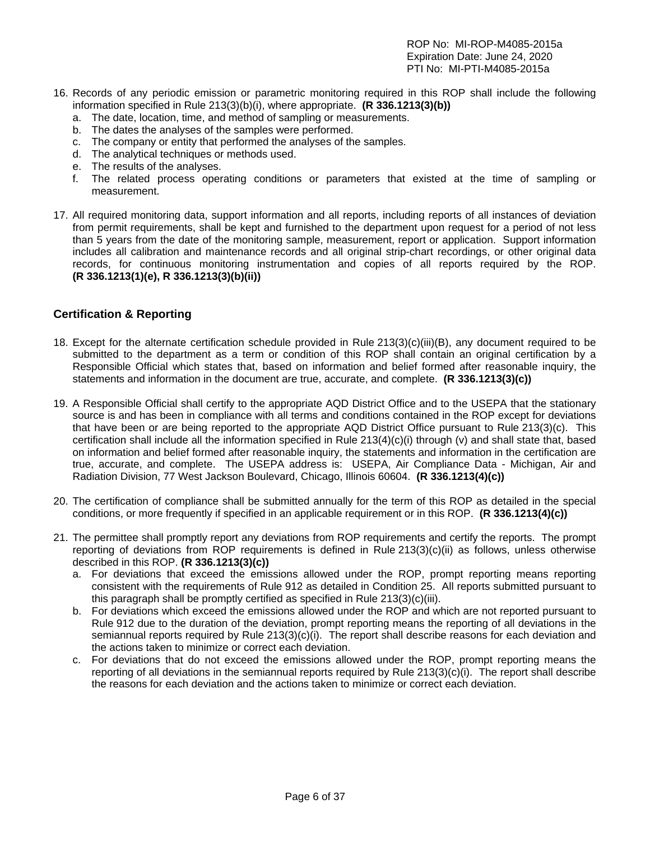- 16. Records of any periodic emission or parametric monitoring required in this ROP shall include the following information specified in Rule 213(3)(b)(i), where appropriate. **(R 336.1213(3)(b))**
	- a. The date, location, time, and method of sampling or measurements.
	- b. The dates the analyses of the samples were performed.
	- c. The company or entity that performed the analyses of the samples.
	- d. The analytical techniques or methods used.
	- e. The results of the analyses.
	- f. The related process operating conditions or parameters that existed at the time of sampling or measurement.
- 17. All required monitoring data, support information and all reports, including reports of all instances of deviation from permit requirements, shall be kept and furnished to the department upon request for a period of not less than 5 years from the date of the monitoring sample, measurement, report or application. Support information includes all calibration and maintenance records and all original strip-chart recordings, or other original data records, for continuous monitoring instrumentation and copies of all reports required by the ROP. **(R 336.1213(1)(e), R 336.1213(3)(b)(ii))**

# **Certification & Reporting**

- 18. Except for the alternate certification schedule provided in Rule 213(3)(c)(iii)(B), any document required to be submitted to the department as a term or condition of this ROP shall contain an original certification by a Responsible Official which states that, based on information and belief formed after reasonable inquiry, the statements and information in the document are true, accurate, and complete. **(R 336.1213(3)(c))**
- 19. A Responsible Official shall certify to the appropriate AQD District Office and to the USEPA that the stationary source is and has been in compliance with all terms and conditions contained in the ROP except for deviations that have been or are being reported to the appropriate AQD District Office pursuant to Rule 213(3)(c). This certification shall include all the information specified in Rule  $213(4)(c)(i)$  through (v) and shall state that, based on information and belief formed after reasonable inquiry, the statements and information in the certification are true, accurate, and complete. The USEPA address is: USEPA, Air Compliance Data - Michigan, Air and Radiation Division, 77 West Jackson Boulevard, Chicago, Illinois 60604. **(R 336.1213(4)(c))**
- 20. The certification of compliance shall be submitted annually for the term of this ROP as detailed in the special conditions, or more frequently if specified in an applicable requirement or in this ROP. **(R 336.1213(4)(c))**
- 21. The permittee shall promptly report any deviations from ROP requirements and certify the reports. The prompt reporting of deviations from ROP requirements is defined in Rule 213(3)(c)(ii) as follows, unless otherwise described in this ROP. **(R 336.1213(3)(c))**
	- a. For deviations that exceed the emissions allowed under the ROP, prompt reporting means reporting consistent with the requirements of Rule 912 as detailed in Condition 25. All reports submitted pursuant to this paragraph shall be promptly certified as specified in Rule 213(3)(c)(iii).
	- b. For deviations which exceed the emissions allowed under the ROP and which are not reported pursuant to Rule 912 due to the duration of the deviation, prompt reporting means the reporting of all deviations in the semiannual reports required by Rule 213(3)(c)(i). The report shall describe reasons for each deviation and the actions taken to minimize or correct each deviation.
	- c. For deviations that do not exceed the emissions allowed under the ROP, prompt reporting means the reporting of all deviations in the semiannual reports required by Rule 213(3)(c)(i). The report shall describe the reasons for each deviation and the actions taken to minimize or correct each deviation.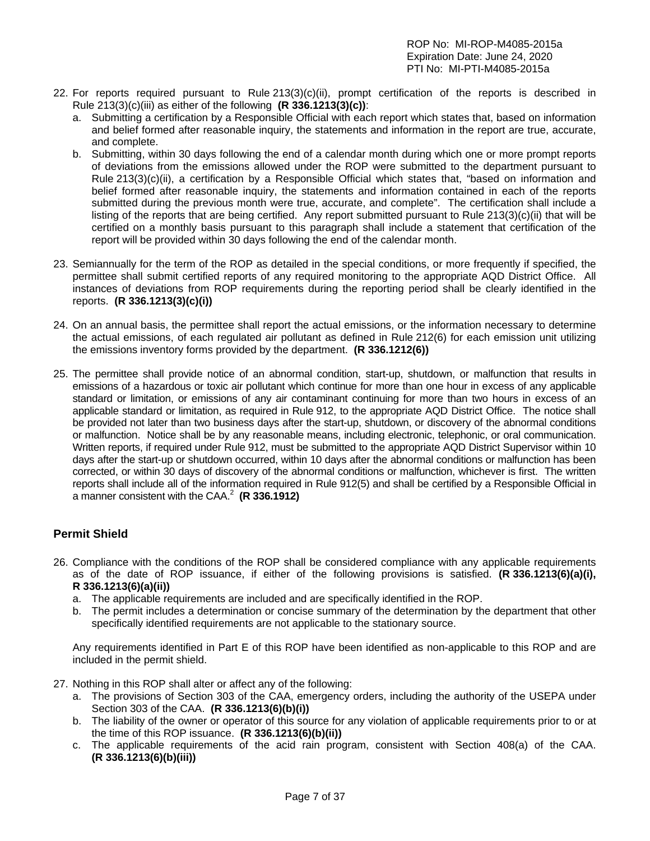- 22. For reports required pursuant to Rule 213(3)(c)(ii), prompt certification of the reports is described in Rule 213(3)(c)(iii) as either of the following **(R 336.1213(3)(c))**:
	- a. Submitting a certification by a Responsible Official with each report which states that, based on information and belief formed after reasonable inquiry, the statements and information in the report are true, accurate, and complete.
	- b. Submitting, within 30 days following the end of a calendar month during which one or more prompt reports of deviations from the emissions allowed under the ROP were submitted to the department pursuant to Rule 213(3)(c)(ii), a certification by a Responsible Official which states that, "based on information and belief formed after reasonable inquiry, the statements and information contained in each of the reports submitted during the previous month were true, accurate, and complete". The certification shall include a listing of the reports that are being certified. Any report submitted pursuant to Rule 213(3)(c)(ii) that will be certified on a monthly basis pursuant to this paragraph shall include a statement that certification of the report will be provided within 30 days following the end of the calendar month.
- 23. Semiannually for the term of the ROP as detailed in the special conditions, or more frequently if specified, the permittee shall submit certified reports of any required monitoring to the appropriate AQD District Office. All instances of deviations from ROP requirements during the reporting period shall be clearly identified in the reports. **(R 336.1213(3)(c)(i))**
- 24. On an annual basis, the permittee shall report the actual emissions, or the information necessary to determine the actual emissions, of each regulated air pollutant as defined in Rule 212(6) for each emission unit utilizing the emissions inventory forms provided by the department. **(R 336.1212(6))**
- 25. The permittee shall provide notice of an abnormal condition, start-up, shutdown, or malfunction that results in emissions of a hazardous or toxic air pollutant which continue for more than one hour in excess of any applicable standard or limitation, or emissions of any air contaminant continuing for more than two hours in excess of an applicable standard or limitation, as required in Rule 912, to the appropriate AQD District Office. The notice shall be provided not later than two business days after the start-up, shutdown, or discovery of the abnormal conditions or malfunction. Notice shall be by any reasonable means, including electronic, telephonic, or oral communication. Written reports, if required under Rule 912, must be submitted to the appropriate AQD District Supervisor within 10 days after the start-up or shutdown occurred, within 10 days after the abnormal conditions or malfunction has been corrected, or within 30 days of discovery of the abnormal conditions or malfunction, whichever is first. The written reports shall include all of the information required in Rule 912(5) and shall be certified by a Responsible Official in a manner consistent with the CAA.<sup>2</sup> (R 336.1912)

# **Permit Shield**

- 26. Compliance with the conditions of the ROP shall be considered compliance with any applicable requirements as of the date of ROP issuance, if either of the following provisions is satisfied. **(R 336.1213(6)(a)(i), R 336.1213(6)(a)(ii))**
	- a. The applicable requirements are included and are specifically identified in the ROP.
	- b. The permit includes a determination or concise summary of the determination by the department that other specifically identified requirements are not applicable to the stationary source.

Any requirements identified in Part E of this ROP have been identified as non-applicable to this ROP and are included in the permit shield.

- 27. Nothing in this ROP shall alter or affect any of the following:
	- a. The provisions of Section 303 of the CAA, emergency orders, including the authority of the USEPA under Section 303 of the CAA. **(R 336.1213(6)(b)(i))**
	- b. The liability of the owner or operator of this source for any violation of applicable requirements prior to or at the time of this ROP issuance. **(R 336.1213(6)(b)(ii))**
	- c. The applicable requirements of the acid rain program, consistent with Section 408(a) of the CAA. **(R 336.1213(6)(b)(iii))**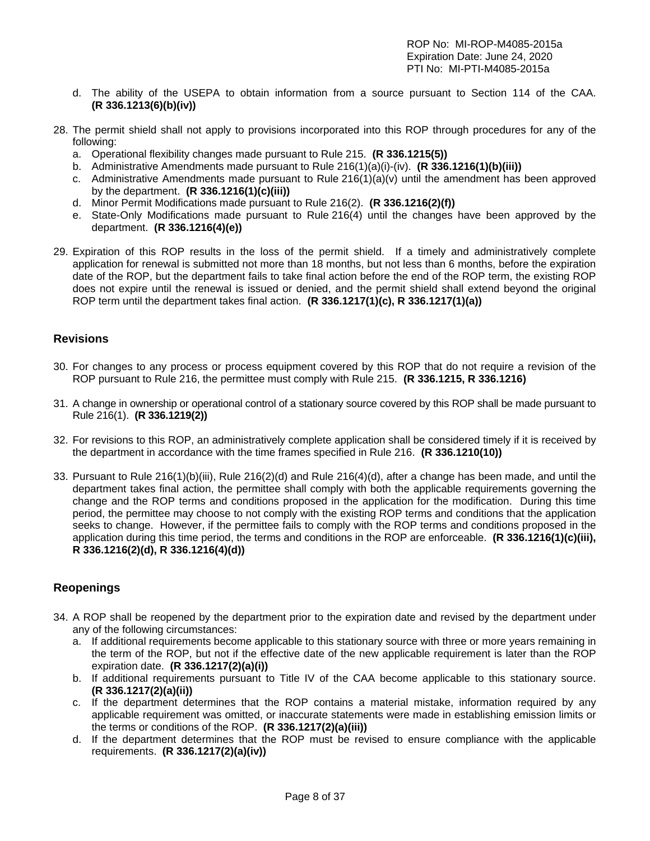- d. The ability of the USEPA to obtain information from a source pursuant to Section 114 of the CAA. **(R 336.1213(6)(b)(iv))**
- 28. The permit shield shall not apply to provisions incorporated into this ROP through procedures for any of the following:
	- a. Operational flexibility changes made pursuant to Rule 215. **(R 336.1215(5))**
	- b. Administrative Amendments made pursuant to Rule 216(1)(a)(i)-(iv). **(R 336.1216(1)(b)(iii))**
	- c. Administrative Amendments made pursuant to Rule  $216(1)(a)(v)$  until the amendment has been approved by the department. **(R 336.1216(1)(c)(iii))**
	- d. Minor Permit Modifications made pursuant to Rule 216(2). **(R 336.1216(2)(f))**
	- e. State-Only Modifications made pursuant to Rule 216(4) until the changes have been approved by the department. **(R 336.1216(4)(e))**
- 29. Expiration of this ROP results in the loss of the permit shield. If a timely and administratively complete application for renewal is submitted not more than 18 months, but not less than 6 months, before the expiration date of the ROP, but the department fails to take final action before the end of the ROP term, the existing ROP does not expire until the renewal is issued or denied, and the permit shield shall extend beyond the original ROP term until the department takes final action. **(R 336.1217(1)(c), R 336.1217(1)(a))**

### **Revisions**

- 30. For changes to any process or process equipment covered by this ROP that do not require a revision of the ROP pursuant to Rule 216, the permittee must comply with Rule 215. **(R 336.1215, R 336.1216)**
- 31. A change in ownership or operational control of a stationary source covered by this ROP shall be made pursuant to Rule 216(1). **(R 336.1219(2))**
- 32. For revisions to this ROP, an administratively complete application shall be considered timely if it is received by the department in accordance with the time frames specified in Rule 216. **(R 336.1210(10))**
- 33. Pursuant to Rule 216(1)(b)(iii), Rule 216(2)(d) and Rule 216(4)(d), after a change has been made, and until the department takes final action, the permittee shall comply with both the applicable requirements governing the change and the ROP terms and conditions proposed in the application for the modification. During this time period, the permittee may choose to not comply with the existing ROP terms and conditions that the application seeks to change. However, if the permittee fails to comply with the ROP terms and conditions proposed in the application during this time period, the terms and conditions in the ROP are enforceable. **(R 336.1216(1)(c)(iii), R 336.1216(2)(d), R 336.1216(4)(d))**

### **Reopenings**

- 34. A ROP shall be reopened by the department prior to the expiration date and revised by the department under any of the following circumstances:
	- a. If additional requirements become applicable to this stationary source with three or more years remaining in the term of the ROP, but not if the effective date of the new applicable requirement is later than the ROP expiration date. **(R 336.1217(2)(a)(i))**
	- b. If additional requirements pursuant to Title IV of the CAA become applicable to this stationary source. **(R 336.1217(2)(a)(ii))**
	- c. If the department determines that the ROP contains a material mistake, information required by any applicable requirement was omitted, or inaccurate statements were made in establishing emission limits or the terms or conditions of the ROP. **(R 336.1217(2)(a)(iii))**
	- d. If the department determines that the ROP must be revised to ensure compliance with the applicable requirements. **(R 336.1217(2)(a)(iv))**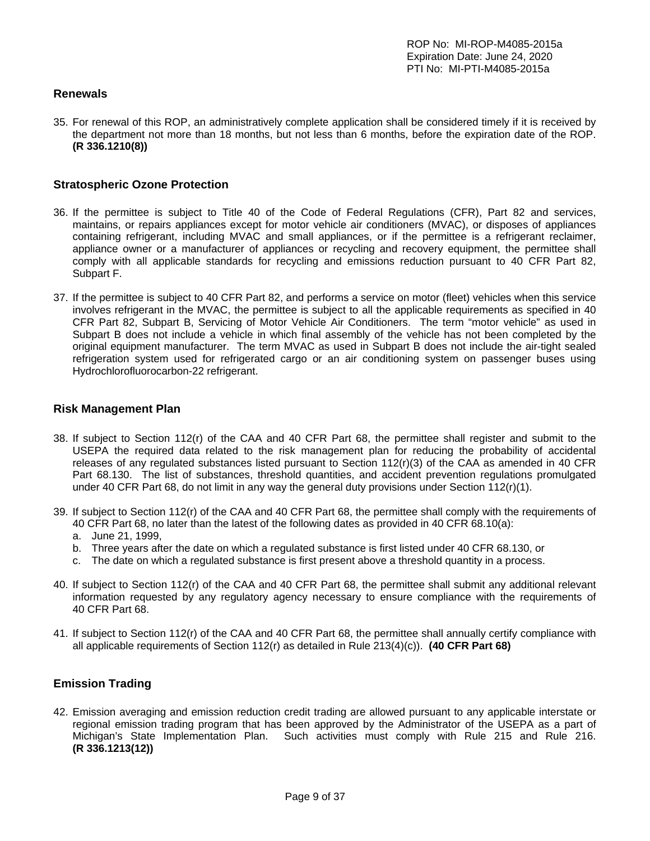### **Renewals**

35. For renewal of this ROP, an administratively complete application shall be considered timely if it is received by the department not more than 18 months, but not less than 6 months, before the expiration date of the ROP. **(R 336.1210(8))**

#### **Stratospheric Ozone Protection**

- 36. If the permittee is subject to Title 40 of the Code of Federal Regulations (CFR), Part 82 and services, maintains, or repairs appliances except for motor vehicle air conditioners (MVAC), or disposes of appliances containing refrigerant, including MVAC and small appliances, or if the permittee is a refrigerant reclaimer, appliance owner or a manufacturer of appliances or recycling and recovery equipment, the permittee shall comply with all applicable standards for recycling and emissions reduction pursuant to 40 CFR Part 82, Subpart F.
- 37. If the permittee is subject to 40 CFR Part 82, and performs a service on motor (fleet) vehicles when this service involves refrigerant in the MVAC, the permittee is subject to all the applicable requirements as specified in 40 CFR Part 82, Subpart B, Servicing of Motor Vehicle Air Conditioners. The term "motor vehicle" as used in Subpart B does not include a vehicle in which final assembly of the vehicle has not been completed by the original equipment manufacturer. The term MVAC as used in Subpart B does not include the air-tight sealed refrigeration system used for refrigerated cargo or an air conditioning system on passenger buses using Hydrochlorofluorocarbon-22 refrigerant.

#### **Risk Management Plan**

- 38. If subject to Section 112(r) of the CAA and 40 CFR Part 68, the permittee shall register and submit to the USEPA the required data related to the risk management plan for reducing the probability of accidental releases of any regulated substances listed pursuant to Section 112(r)(3) of the CAA as amended in 40 CFR Part 68.130. The list of substances, threshold quantities, and accident prevention regulations promulgated under 40 CFR Part 68, do not limit in any way the general duty provisions under Section 112(r)(1).
- 39. If subject to Section 112(r) of the CAA and 40 CFR Part 68, the permittee shall comply with the requirements of 40 CFR Part 68, no later than the latest of the following dates as provided in 40 CFR 68.10(a):
	- a. June 21, 1999,
	- b. Three years after the date on which a regulated substance is first listed under 40 CFR 68.130, or
	- c. The date on which a regulated substance is first present above a threshold quantity in a process.
- 40. If subject to Section 112(r) of the CAA and 40 CFR Part 68, the permittee shall submit any additional relevant information requested by any regulatory agency necessary to ensure compliance with the requirements of 40 CFR Part 68.
- 41. If subject to Section 112(r) of the CAA and 40 CFR Part 68, the permittee shall annually certify compliance with all applicable requirements of Section 112(r) as detailed in Rule 213(4)(c)). **(40 CFR Part 68)**

#### **Emission Trading**

42. Emission averaging and emission reduction credit trading are allowed pursuant to any applicable interstate or regional emission trading program that has been approved by the Administrator of the USEPA as a part of Michigan's State Implementation Plan. Such activities must comply with Rule 215 and Rule 216. **(R 336.1213(12))**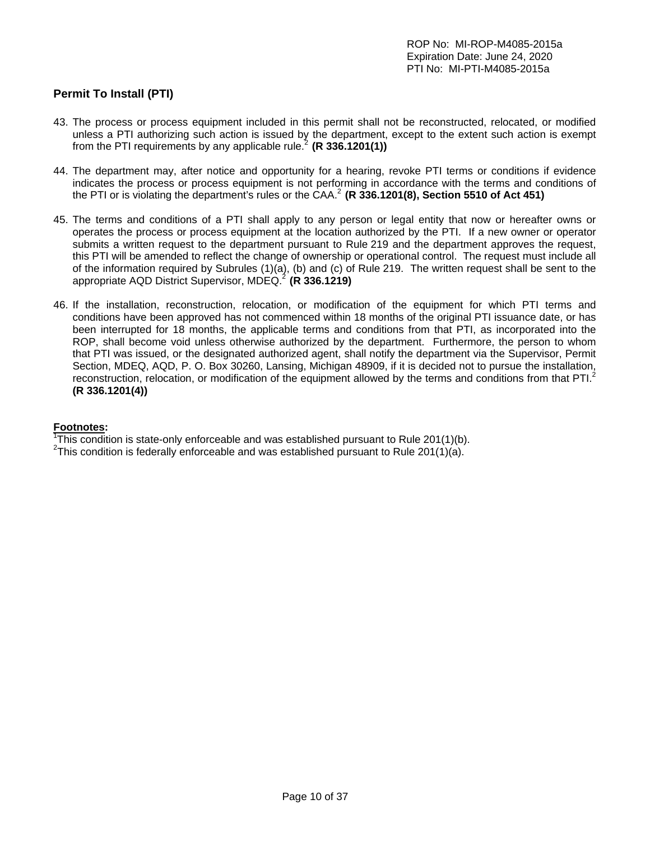# **Permit To Install (PTI)**

- 43. The process or process equipment included in this permit shall not be reconstructed, relocated, or modified unless a PTI authorizing such action is issued by the department, except to the extent such action is exempt from the PTI requirements by any applicable rule.<sup>2</sup> (R 336.1201(1))
- 44. The department may, after notice and opportunity for a hearing, revoke PTI terms or conditions if evidence indicates the process or process equipment is not performing in accordance with the terms and conditions of the PTI or is violating the department's rules or the CAA.<sup>2</sup> (R 336.1201(8), Section 5510 of Act 451)
- 45. The terms and conditions of a PTI shall apply to any person or legal entity that now or hereafter owns or operates the process or process equipment at the location authorized by the PTI. If a new owner or operator submits a written request to the department pursuant to Rule 219 and the department approves the request, this PTI will be amended to reflect the change of ownership or operational control. The request must include all of the information required by Subrules (1)(a), (b) and (c) of Rule 219. The written request shall be sent to the appropriate AQD District Supervisor, MDEQ.<sup>2</sup> (R 336.1219)
- 46. If the installation, reconstruction, relocation, or modification of the equipment for which PTI terms and conditions have been approved has not commenced within 18 months of the original PTI issuance date, or has been interrupted for 18 months, the applicable terms and conditions from that PTI, as incorporated into the ROP, shall become void unless otherwise authorized by the department. Furthermore, the person to whom that PTI was issued, or the designated authorized agent, shall notify the department via the Supervisor, Permit Section, MDEQ, AQD, P. O. Box 30260, Lansing, Michigan 48909, if it is decided not to pursue the installation, reconstruction, relocation, or modification of the equipment allowed by the terms and conditions from that PTI.<sup>2</sup> **(R 336.1201(4))**

### **Footnotes:**

<sup>1</sup>This condition is state-only enforceable and was established pursuant to Rule 201(1)(b). <sup>2</sup>This condition is foderally enforceable and was established pursuant to Rule 201(1)(c).

<sup>2</sup>This condition is federally enforceable and was established pursuant to Rule 201(1)(a).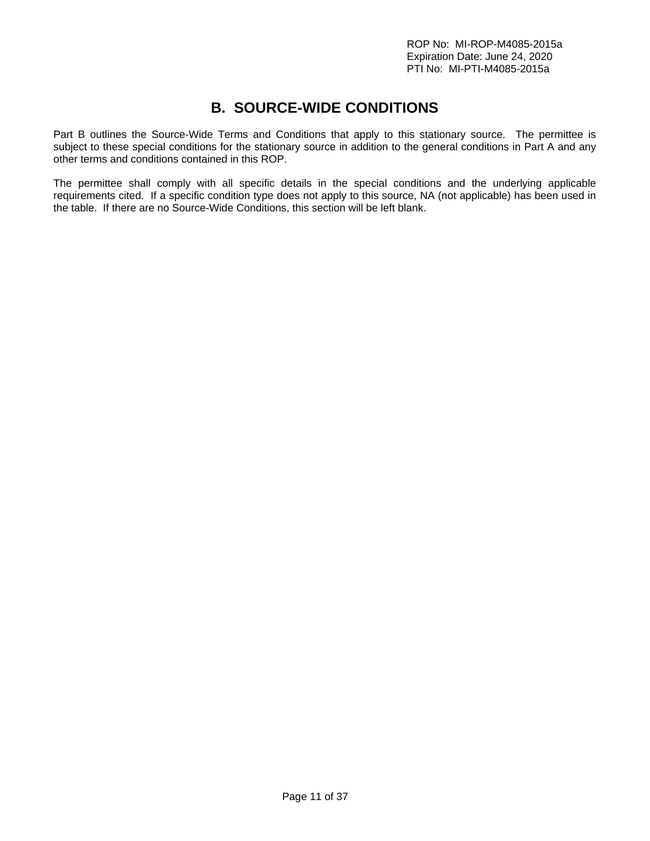# **B. SOURCE-WIDE CONDITIONS**

Part B outlines the Source-Wide Terms and Conditions that apply to this stationary source. The permittee is subject to these special conditions for the stationary source in addition to the general conditions in Part A and any other terms and conditions contained in this ROP.

The permittee shall comply with all specific details in the special conditions and the underlying applicable requirements cited. If a specific condition type does not apply to this source, NA (not applicable) has been used in the table. If there are no Source-Wide Conditions, this section will be left blank.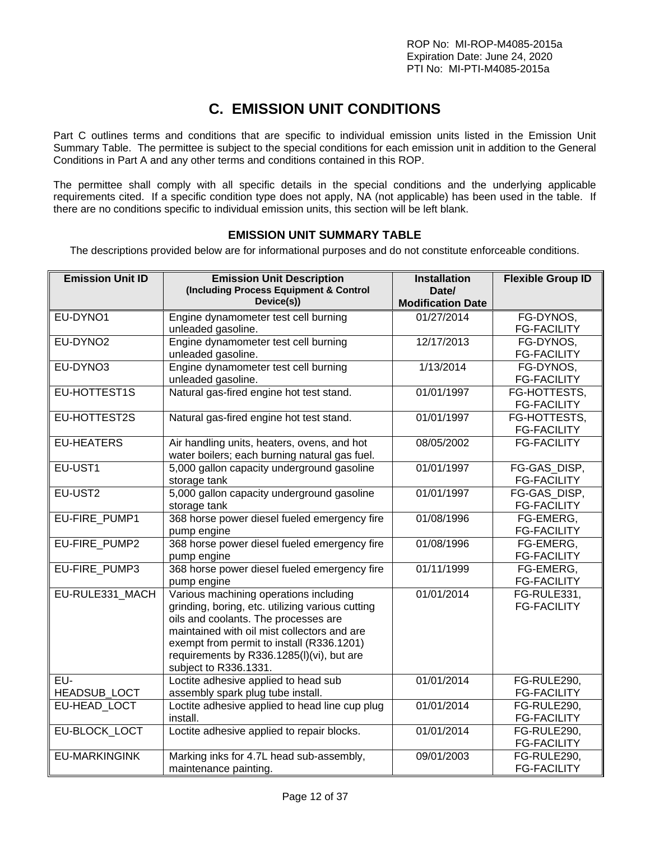# **C. EMISSION UNIT CONDITIONS**

Part C outlines terms and conditions that are specific to individual emission units listed in the Emission Unit Summary Table. The permittee is subject to the special conditions for each emission unit in addition to the General Conditions in Part A and any other terms and conditions contained in this ROP.

The permittee shall comply with all specific details in the special conditions and the underlying applicable requirements cited. If a specific condition type does not apply, NA (not applicable) has been used in the table. If there are no conditions specific to individual emission units, this section will be left blank.

# **EMISSION UNIT SUMMARY TABLE**

The descriptions provided below are for informational purposes and do not constitute enforceable conditions.

| <b>Emission Unit ID</b> | <b>Emission Unit Description</b><br>(Including Process Equipment & Control<br>Device(s)) | <b>Installation</b><br>Date/<br><b>Modification Date</b> | <b>Flexible Group ID</b>           |
|-------------------------|------------------------------------------------------------------------------------------|----------------------------------------------------------|------------------------------------|
| EU-DYNO1                | Engine dynamometer test cell burning                                                     | 01/27/2014                                               | FG-DYNOS,                          |
|                         | unleaded gasoline.                                                                       |                                                          | <b>FG-FACILITY</b>                 |
| EU-DYNO2                | Engine dynamometer test cell burning                                                     | 12/17/2013                                               | FG-DYNOS,                          |
|                         | unleaded gasoline.                                                                       |                                                          | <b>FG-FACILITY</b>                 |
| EU-DYNO3                | Engine dynamometer test cell burning                                                     | 1/13/2014                                                | FG-DYNOS.                          |
|                         | unleaded gasoline.                                                                       |                                                          | <b>FG-FACILITY</b>                 |
| EU-HOTTEST1S            | Natural gas-fired engine hot test stand.                                                 | 01/01/1997                                               | FG-HOTTESTS,<br><b>FG-FACILITY</b> |
| EU-HOTTEST2S            | Natural gas-fired engine hot test stand.                                                 | 01/01/1997                                               | FG-HOTTESTS,                       |
|                         |                                                                                          |                                                          | <b>FG-FACILITY</b>                 |
| <b>EU-HEATERS</b>       | Air handling units, heaters, ovens, and hot                                              | 08/05/2002                                               | <b>FG-FACILITY</b>                 |
|                         | water boilers; each burning natural gas fuel.                                            |                                                          |                                    |
| EU-UST1                 | 5,000 gallon capacity underground gasoline                                               | 01/01/1997                                               | FG-GAS DISP,                       |
| EU-UST2                 | storage tank<br>5,000 gallon capacity underground gasoline                               | 01/01/1997                                               | <b>FG-FACILITY</b><br>FG-GAS DISP, |
|                         | storage tank                                                                             |                                                          | <b>FG-FACILITY</b>                 |
| EU-FIRE PUMP1           | 368 horse power diesel fueled emergency fire                                             | 01/08/1996                                               | FG-EMERG,                          |
|                         | pump engine                                                                              |                                                          | <b>FG-FACILITY</b>                 |
| EU-FIRE PUMP2           | 368 horse power diesel fueled emergency fire                                             | 01/08/1996                                               | FG-EMERG.                          |
|                         | pump engine                                                                              |                                                          | <b>FG-FACILITY</b>                 |
| EU-FIRE_PUMP3           | 368 horse power diesel fueled emergency fire                                             | 01/11/1999                                               | FG-EMERG.                          |
|                         | pump engine                                                                              |                                                          | <b>FG-FACILITY</b>                 |
| EU-RULE331 MACH         | Various machining operations including                                                   | 01/01/2014                                               | FG-RULE331,                        |
|                         | grinding, boring, etc. utilizing various cutting                                         |                                                          | <b>FG-FACILITY</b>                 |
|                         | oils and coolants. The processes are<br>maintained with oil mist collectors and are      |                                                          |                                    |
|                         | exempt from permit to install (R336.1201)                                                |                                                          |                                    |
|                         | requirements by R336.1285(I)(vi), but are                                                |                                                          |                                    |
|                         | subject to R336.1331.                                                                    |                                                          |                                    |
| EU-                     | Loctite adhesive applied to head sub                                                     | 01/01/2014                                               | FG-RULE290,                        |
| HEADSUB_LOCT            | assembly spark plug tube install.                                                        |                                                          | <b>FG-FACILITY</b>                 |
| EU-HEAD LOCT            | Loctite adhesive applied to head line cup plug                                           | 01/01/2014                                               | FG-RULE290,                        |
|                         | install.                                                                                 |                                                          | <b>FG-FACILITY</b>                 |
| EU-BLOCK_LOCT           | Loctite adhesive applied to repair blocks.                                               | 01/01/2014                                               | FG-RULE290,                        |
|                         |                                                                                          |                                                          | <b>FG-FACILITY</b>                 |
| <b>EU-MARKINGINK</b>    | Marking inks for 4.7L head sub-assembly,                                                 | 09/01/2003                                               | FG-RULE290,                        |
|                         | maintenance painting.                                                                    |                                                          | <b>FG-FACILITY</b>                 |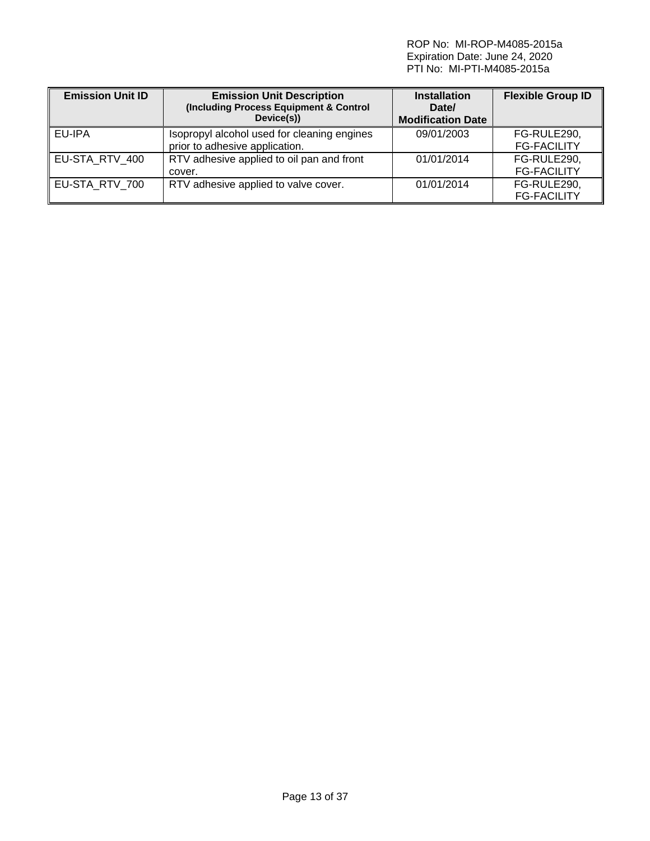ROP No: MI-ROP-M4085-2015a Expiration Date: June 24, 2020 PTI No: MI-PTI-M4085-2015a

| <b>Emission Unit ID</b> | <b>Emission Unit Description</b><br>(Including Process Equipment & Control<br>Device(s)) | <b>Installation</b><br>Date/<br><b>Modification Date</b> | <b>Flexible Group ID</b>          |
|-------------------------|------------------------------------------------------------------------------------------|----------------------------------------------------------|-----------------------------------|
| EU-IPA                  | Isopropyl alcohol used for cleaning engines<br>prior to adhesive application.            | 09/01/2003                                               | FG-RULE290,<br><b>FG-FACILITY</b> |
| EU-STA RTV 400          | RTV adhesive applied to oil pan and front<br>cover.                                      | 01/01/2014                                               | FG-RULE290,<br><b>FG-FACILITY</b> |
| EU-STA RTV 700          | RTV adhesive applied to valve cover.                                                     | 01/01/2014                                               | FG-RULE290,<br><b>FG-FACILITY</b> |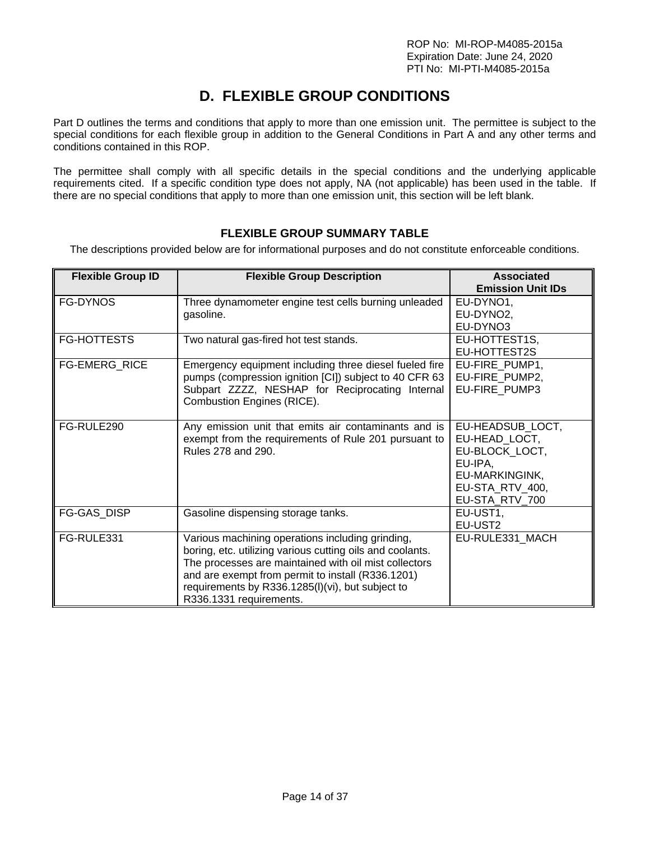# **D. FLEXIBLE GROUP CONDITIONS**

Part D outlines the terms and conditions that apply to more than one emission unit. The permittee is subject to the special conditions for each flexible group in addition to the General Conditions in Part A and any other terms and conditions contained in this ROP.

The permittee shall comply with all specific details in the special conditions and the underlying applicable requirements cited. If a specific condition type does not apply, NA (not applicable) has been used in the table. If there are no special conditions that apply to more than one emission unit, this section will be left blank.

# **FLEXIBLE GROUP SUMMARY TABLE**

The descriptions provided below are for informational purposes and do not constitute enforceable conditions.

| <b>Flexible Group ID</b> | <b>Flexible Group Description</b>                                                                                                                                                                                                                                                                          | <b>Associated</b><br><b>Emission Unit IDs</b>                                                                         |
|--------------------------|------------------------------------------------------------------------------------------------------------------------------------------------------------------------------------------------------------------------------------------------------------------------------------------------------------|-----------------------------------------------------------------------------------------------------------------------|
| <b>FG-DYNOS</b>          | Three dynamometer engine test cells burning unleaded<br>gasoline.                                                                                                                                                                                                                                          | EU-DYNO1,<br>EU-DYNO2,<br>EU-DYNO3                                                                                    |
| <b>FG-HOTTESTS</b>       | Two natural gas-fired hot test stands.                                                                                                                                                                                                                                                                     | EU-HOTTEST1S,<br>EU-HOTTEST2S                                                                                         |
| FG-EMERG_RICE            | Emergency equipment including three diesel fueled fire<br>pumps (compression ignition [CI]) subject to 40 CFR 63<br>Subpart ZZZZ, NESHAP for Reciprocating Internal<br>Combustion Engines (RICE).                                                                                                          | EU-FIRE_PUMP1,<br>EU-FIRE_PUMP2,<br>EU-FIRE PUMP3                                                                     |
| FG-RULE290               | Any emission unit that emits air contaminants and is<br>exempt from the requirements of Rule 201 pursuant to<br>Rules 278 and 290.                                                                                                                                                                         | EU-HEADSUB LOCT,<br>EU-HEAD_LOCT,<br>EU-BLOCK_LOCT,<br>EU-IPA,<br>EU-MARKINGINK,<br>EU-STA RTV 400,<br>EU-STA_RTV_700 |
| <b>FG-GAS DISP</b>       | Gasoline dispensing storage tanks.                                                                                                                                                                                                                                                                         | EU-UST1,<br>EU-UST2                                                                                                   |
| FG-RULE331               | Various machining operations including grinding,<br>boring, etc. utilizing various cutting oils and coolants.<br>The processes are maintained with oil mist collectors<br>and are exempt from permit to install (R336.1201)<br>requirements by R336.1285(I)(vi), but subject to<br>R336.1331 requirements. | EU-RULE331_MACH                                                                                                       |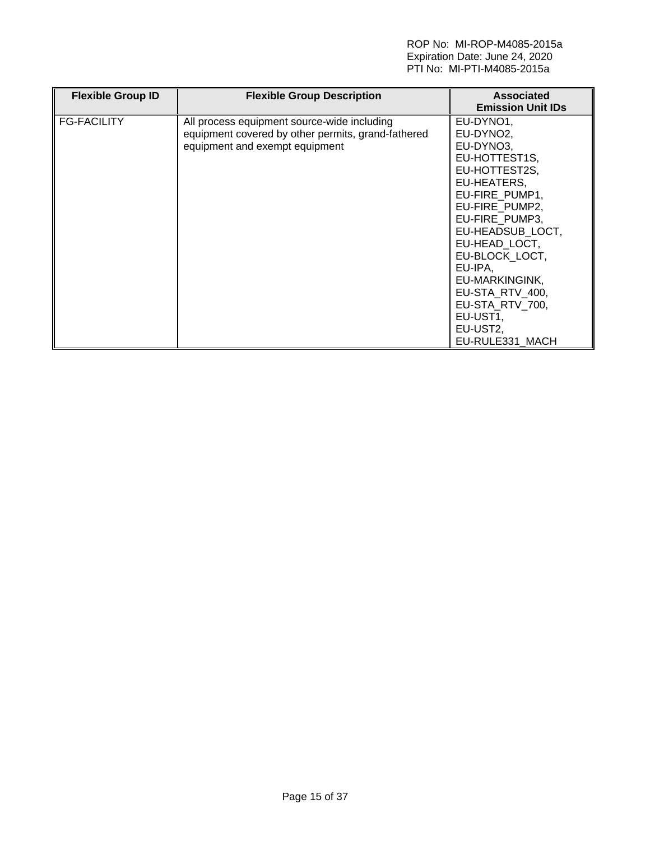#### ROP No: MI-ROP-M4085-2015a Expiration Date: June 24, 2020 PTI No: MI-PTI-M4085-2015a

| <b>Flexible Group ID</b> | <b>Flexible Group Description</b>                                                                                                   | <b>Associated</b><br><b>Emission Unit IDs</b>                                                                                                                                                                                                                                                                   |
|--------------------------|-------------------------------------------------------------------------------------------------------------------------------------|-----------------------------------------------------------------------------------------------------------------------------------------------------------------------------------------------------------------------------------------------------------------------------------------------------------------|
| <b>FG-FACILITY</b>       | All process equipment source-wide including<br>equipment covered by other permits, grand-fathered<br>equipment and exempt equipment | EU-DYNO1,<br>EU-DYNO2.<br>EU-DYNO3,<br>EU-HOTTEST1S,<br>EU-HOTTEST2S,<br>EU-HEATERS,<br>EU-FIRE PUMP1,<br>EU-FIRE_PUMP2,<br>EU-FIRE PUMP3,<br>EU-HEADSUB LOCT,<br>EU-HEAD LOCT,<br>EU-BLOCK_LOCT,<br>EU-IPA,<br>EU-MARKINGINK,<br>EU-STA RTV 400,<br>EU-STA RTV 700,<br>EU-UST1,<br>EU-UST2,<br>EU-RULE331 MACH |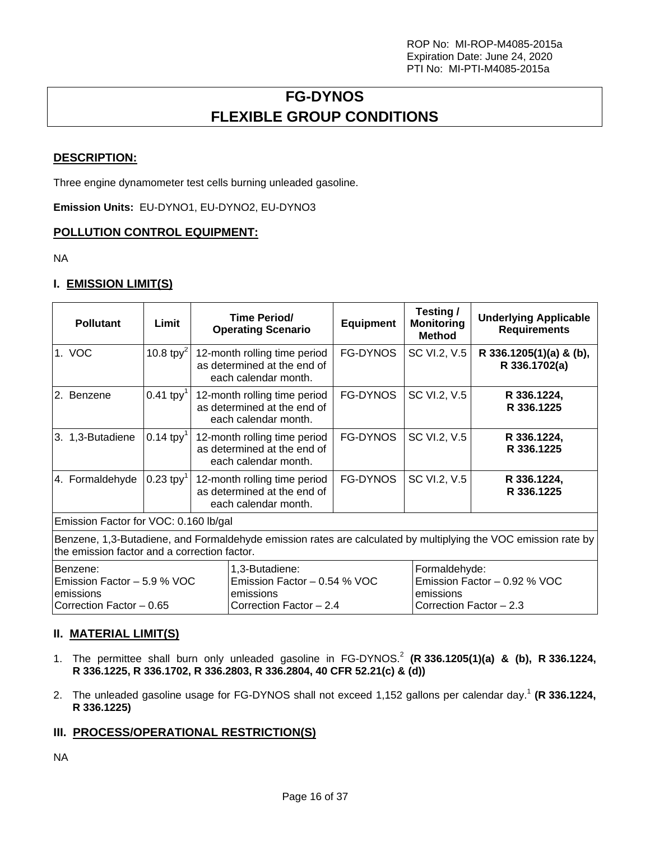# **FG-DYNOS FLEXIBLE GROUP CONDITIONS**

## **DESCRIPTION:**

Three engine dynamometer test cells burning unleaded gasoline.

**Emission Units:** EU-DYNO1, EU-DYNO2, EU-DYNO3

### **POLLUTION CONTROL EQUIPMENT:**

NA

## **I. EMISSION LIMIT(S)**

| <b>Pollutant</b>                                                                                                                                               | Limit                   | Time Period/<br><b>Operating Scenario</b>                                           | <b>Equipment</b> | Testing/<br><b>Monitoring</b><br><b>Method</b> | <b>Underlying Applicable</b><br><b>Requirements</b> |  |
|----------------------------------------------------------------------------------------------------------------------------------------------------------------|-------------------------|-------------------------------------------------------------------------------------|------------------|------------------------------------------------|-----------------------------------------------------|--|
| 1. VOC                                                                                                                                                         | 10.8 tpy <sup>2</sup>   | 12-month rolling time period<br>as determined at the end of<br>each calendar month. | FG-DYNOS         | SC VI.2, V.5                                   | R 336.1205(1)(a) & (b),<br>R 336.1702(a)            |  |
| 2. Benzene                                                                                                                                                     | $0.41$ tpy <sup>1</sup> | 12-month rolling time period<br>as determined at the end of<br>each calendar month. | <b>FG-DYNOS</b>  | SC VI.2, V.5                                   | R 336.1224,<br>R 336.1225                           |  |
| 3. 1,3-Butadiene                                                                                                                                               | $0.14$ tpy <sup>1</sup> | 12-month rolling time period<br>as determined at the end of<br>each calendar month. | <b>FG-DYNOS</b>  | SC VI.2, V.5                                   | R 336.1224,<br>R 336.1225                           |  |
| 4. Formaldehyde                                                                                                                                                | $0.23$ tpy <sup>1</sup> | 12-month rolling time period<br>as determined at the end of<br>each calendar month. | <b>FG-DYNOS</b>  | SC VI.2, V.5                                   | R 336.1224,<br>R 336.1225                           |  |
| Emission Factor for VOC: 0.160 lb/gal                                                                                                                          |                         |                                                                                     |                  |                                                |                                                     |  |
| Benzene, 1,3-Butadiene, and Formaldehyde emission rates are calculated by multiplying the VOC emission rate by<br>the emission factor and a correction factor. |                         |                                                                                     |                  |                                                |                                                     |  |

| Benzene:                       | I1.3-Butadiene:                | Formaldehyde:                  |
|--------------------------------|--------------------------------|--------------------------------|
| IEmission Factor – 5.9 % VOC I | 1 Emission Factor – 0.54 % VOC | 1 Emission Factor – 0.92 % VOC |
| <b>lemissions</b>              | lemissions                     | Temissions                     |
| ICorrection Factor - 0.65      | ICorrection Factor - 2.4       | Correction Factor - 2.3        |

### **II. MATERIAL LIMIT(S)**

- 1. The permittee shall burn only unleaded gasoline in FG-DYNOS.<sup>2</sup> (R 336.1205(1)(a) & (b), R 336.1224, **R 336.1225, R 336.1702, R 336.2803, R 336.2804, 40 CFR 52.21(c) & (d))**
- 2. The unleaded gasoline usage for FG-DYNOS shall not exceed 1,152 gallons per calendar day.<sup>1</sup> (R 336.1224, **R 336.1225)**

### **III. PROCESS/OPERATIONAL RESTRICTION(S)**

NA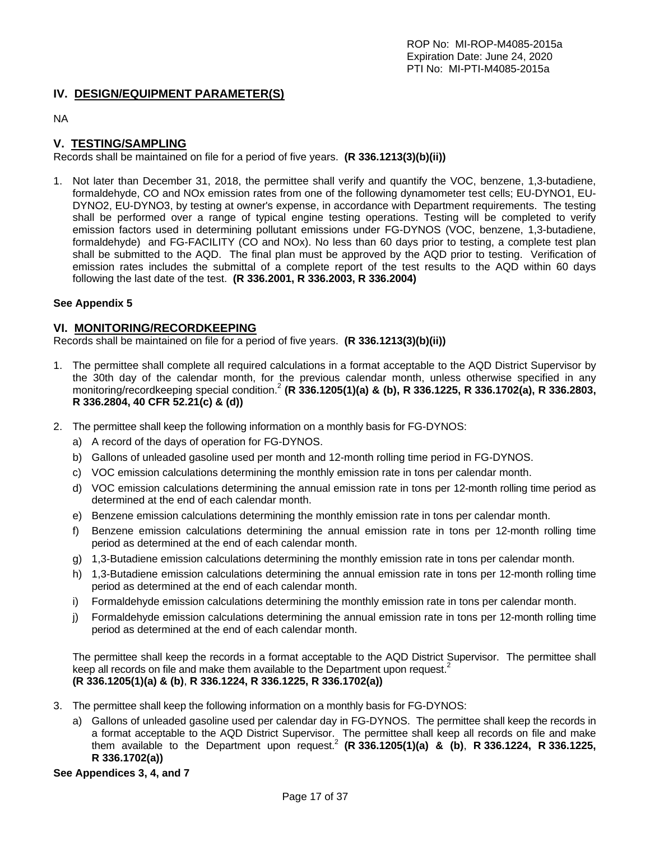### **IV. DESIGN/EQUIPMENT PARAMETER(S)**

NA

### **V. TESTING/SAMPLING**

Records shall be maintained on file for a period of five years. **(R 336.1213(3)(b)(ii))**

1. Not later than December 31, 2018, the permittee shall verify and quantify the VOC, benzene, 1,3-butadiene, formaldehyde, CO and NOx emission rates from one of the following dynamometer test cells; EU-DYNO1, EU-DYNO2, EU-DYNO3, by testing at owner's expense, in accordance with Department requirements. The testing shall be performed over a range of typical engine testing operations. Testing will be completed to verify emission factors used in determining pollutant emissions under FG-DYNOS (VOC, benzene, 1,3-butadiene, formaldehyde) and FG-FACILITY (CO and NOx). No less than 60 days prior to testing, a complete test plan shall be submitted to the AQD. The final plan must be approved by the AQD prior to testing. Verification of emission rates includes the submittal of a complete report of the test results to the AQD within 60 days following the last date of the test. **(R 336.2001, R 336.2003, R 336.2004)**

#### **See Appendix 5**

#### **VI. MONITORING/RECORDKEEPING**

Records shall be maintained on file for a period of five years. **(R 336.1213(3)(b)(ii))**

- 1. The permittee shall complete all required calculations in a format acceptable to the AQD District Supervisor by the 30th day of the calendar month, for the previous calendar month, unless otherwise specified in any monitoring/recordkeeping special condition.2 **(R 336.1205(1)(a) & (b), R 336.1225, R 336.1702(a), R 336.2803, R 336.2804, 40 CFR 52.21(c) & (d))**
- 2. The permittee shall keep the following information on a monthly basis for FG-DYNOS:
	- a) A record of the days of operation for FG-DYNOS.
	- b) Gallons of unleaded gasoline used per month and 12-month rolling time period in FG-DYNOS.
	- c) VOC emission calculations determining the monthly emission rate in tons per calendar month.
	- d) VOC emission calculations determining the annual emission rate in tons per 12-month rolling time period as determined at the end of each calendar month.
	- e) Benzene emission calculations determining the monthly emission rate in tons per calendar month.
	- f) Benzene emission calculations determining the annual emission rate in tons per 12-month rolling time period as determined at the end of each calendar month.
	- g) 1,3-Butadiene emission calculations determining the monthly emission rate in tons per calendar month.
	- h) 1,3-Butadiene emission calculations determining the annual emission rate in tons per 12-month rolling time period as determined at the end of each calendar month.
	- i) Formaldehyde emission calculations determining the monthly emission rate in tons per calendar month.
	- j) Formaldehyde emission calculations determining the annual emission rate in tons per 12-month rolling time period as determined at the end of each calendar month.

The permittee shall keep the records in a format acceptable to the AQD District Supervisor. The permittee shall keep all records on file and make them available to the Department upon request.<sup>2</sup> **(R 336.1205(1)(a) & (b)**, **R 336.1224, R 336.1225, R 336.1702(a))** 

- 3. The permittee shall keep the following information on a monthly basis for FG-DYNOS:
	- a) Gallons of unleaded gasoline used per calendar day in FG-DYNOS. The permittee shall keep the records in a format acceptable to the AQD District Supervisor. The permittee shall keep all records on file and make them available to the Department upon request.2 **(R 336.1205(1)(a) & (b)**, **R 336.1224, R 336.1225, R 336.1702(a))**

#### **See Appendices 3, 4, and 7**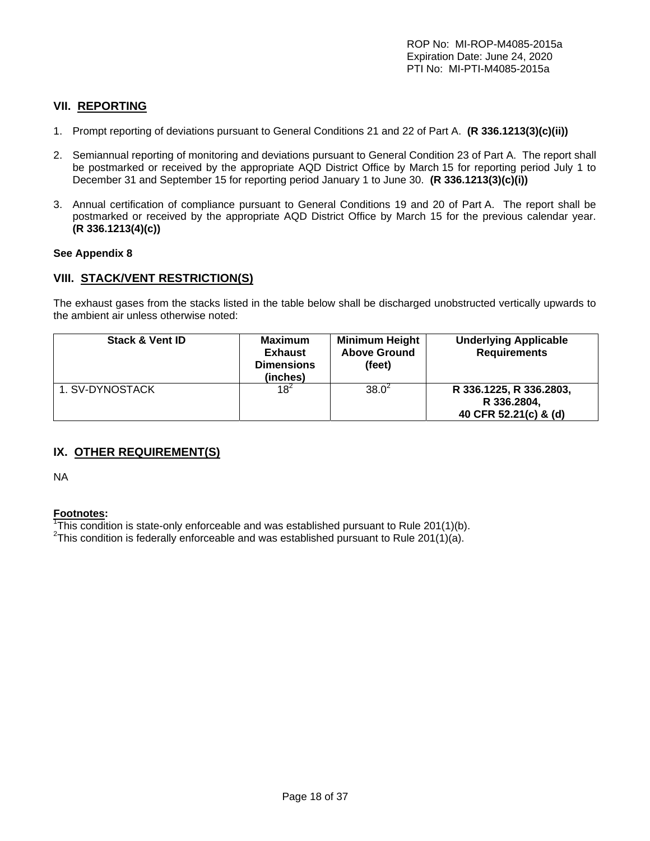## **VII. REPORTING**

- 1. Prompt reporting of deviations pursuant to General Conditions 21 and 22 of Part A. **(R 336.1213(3)(c)(ii))**
- 2. Semiannual reporting of monitoring and deviations pursuant to General Condition 23 of Part A. The report shall be postmarked or received by the appropriate AQD District Office by March 15 for reporting period July 1 to December 31 and September 15 for reporting period January 1 to June 30. **(R 336.1213(3)(c)(i))**
- 3. Annual certification of compliance pursuant to General Conditions 19 and 20 of Part A. The report shall be postmarked or received by the appropriate AQD District Office by March 15 for the previous calendar year. **(R 336.1213(4)(c))**

#### **See Appendix 8**

#### **VIII. STACK/VENT RESTRICTION(S)**

The exhaust gases from the stacks listed in the table below shall be discharged unobstructed vertically upwards to the ambient air unless otherwise noted:

| <b>Stack &amp; Vent ID</b> | <b>Maximum</b><br><b>Exhaust</b><br><b>Dimensions</b><br>(inches) | <b>Minimum Height</b><br><b>Above Ground</b><br>(feet) | <b>Underlying Applicable</b><br><b>Requirements</b>             |
|----------------------------|-------------------------------------------------------------------|--------------------------------------------------------|-----------------------------------------------------------------|
| 1. SV-DYNOSTACK            | $18^{2}$                                                          | $38.0^2$                                               | R 336.1225, R 336.2803,<br>R 336.2804,<br>40 CFR 52.21(c) & (d) |

# **IX. OTHER REQUIREMENT(S)**

NA

## **Footnotes:**

<sup>1</sup>This condition is state-only enforceable and was established pursuant to Rule 201(1)(b).  $2.2$ This condition is foderally enforceable and was established pursuant to Rule 201(1)(c).

<sup>2</sup>This condition is federally enforceable and was established pursuant to Rule 201(1)(a).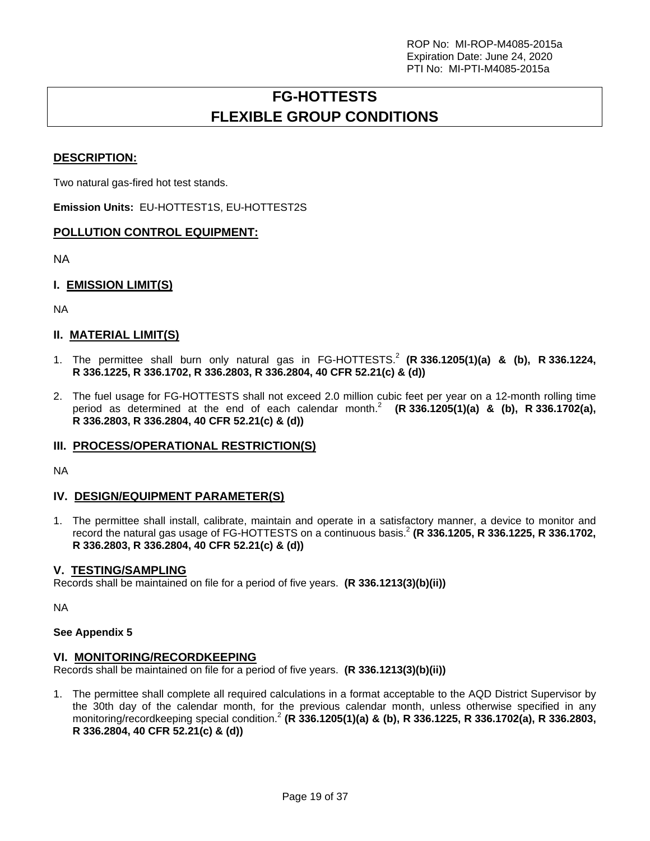# **FG-HOTTESTS FLEXIBLE GROUP CONDITIONS**

## **DESCRIPTION:**

Two natural gas-fired hot test stands.

**Emission Units:** EU-HOTTEST1S, EU-HOTTEST2S

### **POLLUTION CONTROL EQUIPMENT:**

NA

## **I. EMISSION LIMIT(S)**

NA

### **II. MATERIAL LIMIT(S)**

- 1. The permittee shall burn only natural gas in FG-HOTTESTS.<sup>2</sup> (R 336.1205(1)(a) & (b), R 336.1224, **R 336.1225, R 336.1702, R 336.2803, R 336.2804, 40 CFR 52.21(c) & (d))**
- 2. The fuel usage for FG-HOTTESTS shall not exceed 2.0 million cubic feet per year on a 12-month rolling time period as determined at the end of each calendar month.<sup>2</sup>  $(R 336.1205(1)(a)$  & (b), R 336.1702(a), **R 336.2803, R 336.2804, 40 CFR 52.21(c) & (d))**

### **III. PROCESS/OPERATIONAL RESTRICTION(S)**

NA

### **IV. DESIGN/EQUIPMENT PARAMETER(S)**

1. The permittee shall install, calibrate, maintain and operate in a satisfactory manner, a device to monitor and record the natural gas usage of FG-HOTTESTS on a continuous basis.2  **(R 336.1205, R 336.1225, R 336.1702, R 336.2803, R 336.2804, 40 CFR 52.21(c) & (d))**

#### **V. TESTING/SAMPLING**

Records shall be maintained on file for a period of five years. **(R 336.1213(3)(b)(ii))**

NA

#### **See Appendix 5**

### **VI. MONITORING/RECORDKEEPING**

Records shall be maintained on file for a period of five years. **(R 336.1213(3)(b)(ii))**

1. The permittee shall complete all required calculations in a format acceptable to the AQD District Supervisor by the 30th day of the calendar month, for the previous calendar month, unless otherwise specified in any monitoring/recordkeeping special condition.2 **(R 336.1205(1)(a) & (b), R 336.1225, R 336.1702(a), R 336.2803, R 336.2804, 40 CFR 52.21(c) & (d))**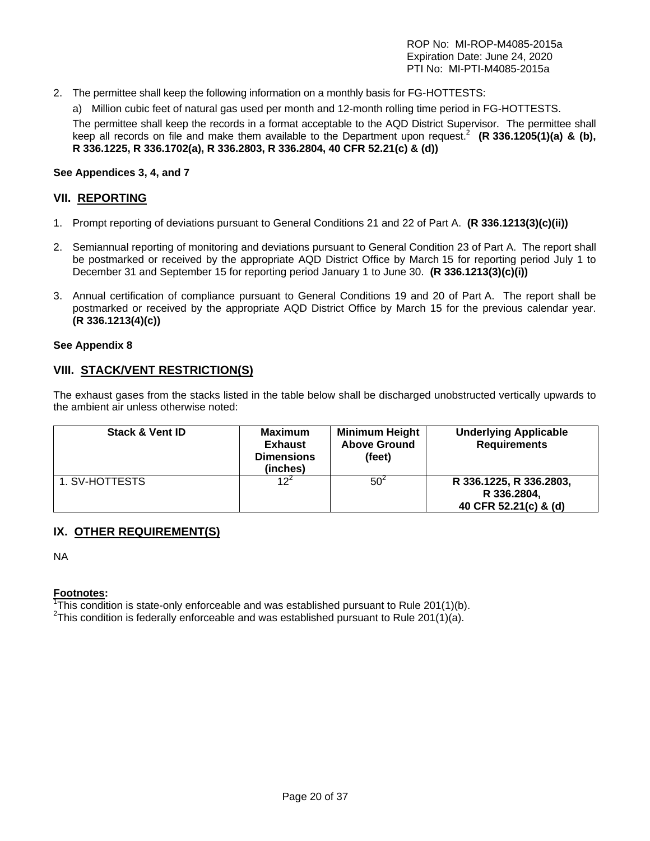2. The permittee shall keep the following information on a monthly basis for FG-HOTTESTS:

a) Million cubic feet of natural gas used per month and 12-month rolling time period in FG-HOTTESTS. The permittee shall keep the records in a format acceptable to the AQD District Supervisor. The permittee shall keep all records on file and make them available to the Department upon request.<sup>2</sup> (R 336.1205(1)(a) & (b), **R 336.1225, R 336.1702(a), R 336.2803, R 336.2804, 40 CFR 52.21(c) & (d))** 

### **See Appendices 3, 4, and 7**

## **VII. REPORTING**

- 1. Prompt reporting of deviations pursuant to General Conditions 21 and 22 of Part A. **(R 336.1213(3)(c)(ii))**
- 2. Semiannual reporting of monitoring and deviations pursuant to General Condition 23 of Part A. The report shall be postmarked or received by the appropriate AQD District Office by March 15 for reporting period July 1 to December 31 and September 15 for reporting period January 1 to June 30. **(R 336.1213(3)(c)(i))**
- 3. Annual certification of compliance pursuant to General Conditions 19 and 20 of Part A. The report shall be postmarked or received by the appropriate AQD District Office by March 15 for the previous calendar year. **(R 336.1213(4)(c))**

#### **See Appendix 8**

## **VIII. STACK/VENT RESTRICTION(S)**

The exhaust gases from the stacks listed in the table below shall be discharged unobstructed vertically upwards to the ambient air unless otherwise noted:

| <b>Stack &amp; Vent ID</b> | <b>Maximum</b><br><b>Exhaust</b><br><b>Dimensions</b><br>(inches) | <b>Minimum Height</b><br><b>Above Ground</b><br>(feet) | <b>Underlying Applicable</b><br><b>Requirements</b>             |
|----------------------------|-------------------------------------------------------------------|--------------------------------------------------------|-----------------------------------------------------------------|
| 1. SV-HOTTESTS             | 12 <sup>2</sup>                                                   | 50 <sup>2</sup>                                        | R 336.1225, R 336.2803,<br>R 336.2804,<br>40 CFR 52.21(c) & (d) |

# **IX. OTHER REQUIREMENT(S)**

NA

**Footnotes:** 

<sup>1</sup>This condition is state-only enforceable and was established pursuant to Rule 201(1)(b).  $2.2$ This condition is foderally enforceable and was established pursuant to Rule 201(1)(c).

<sup>2</sup>This condition is federally enforceable and was established pursuant to Rule 201(1)(a).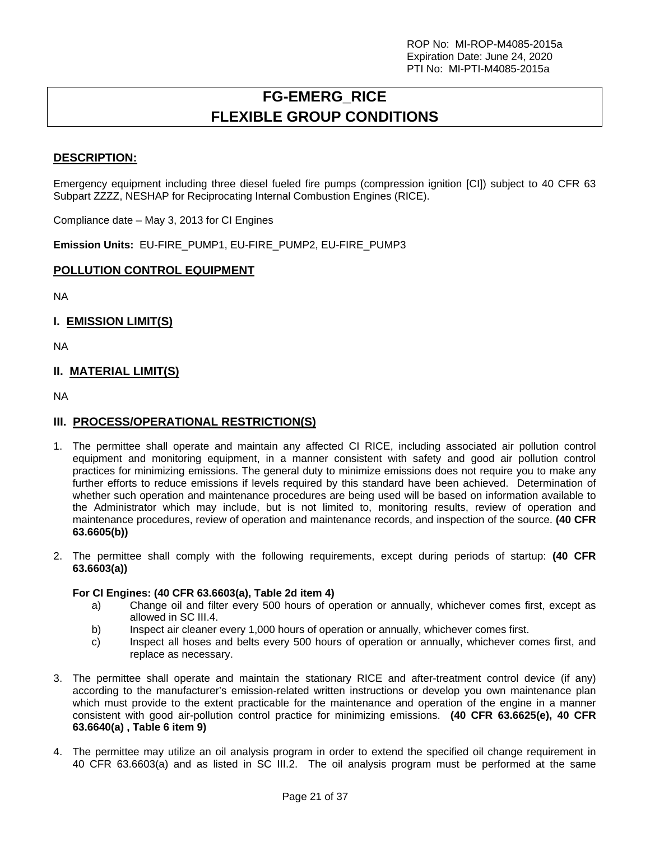# **FG-EMERG\_RICE FLEXIBLE GROUP CONDITIONS**

## **DESCRIPTION:**

Emergency equipment including three diesel fueled fire pumps (compression ignition [CI]) subject to 40 CFR 63 Subpart ZZZZ, NESHAP for Reciprocating Internal Combustion Engines (RICE).

Compliance date – May 3, 2013 for CI Engines

**Emission Units:** EU-FIRE\_PUMP1, EU-FIRE\_PUMP2, EU-FIRE\_PUMP3

#### **POLLUTION CONTROL EQUIPMENT**

NA

## **I. EMISSION LIMIT(S)**

NA

### **II. MATERIAL LIMIT(S)**

NA

### **III. PROCESS/OPERATIONAL RESTRICTION(S)**

- 1. The permittee shall operate and maintain any affected CI RICE, including associated air pollution control equipment and monitoring equipment, in a manner consistent with safety and good air pollution control practices for minimizing emissions. The general duty to minimize emissions does not require you to make any further efforts to reduce emissions if levels required by this standard have been achieved. Determination of whether such operation and maintenance procedures are being used will be based on information available to the Administrator which may include, but is not limited to, monitoring results, review of operation and maintenance procedures, review of operation and maintenance records, and inspection of the source. **(40 CFR 63.6605(b))**
- 2. The permittee shall comply with the following requirements, except during periods of startup: **(40 CFR 63.6603(a))**

#### **For CI Engines: (40 CFR 63.6603(a), Table 2d item 4)**

- a) Change oil and filter every 500 hours of operation or annually, whichever comes first, except as allowed in SC III.4.
- b) Inspect air cleaner every 1,000 hours of operation or annually, whichever comes first.
- c) Inspect all hoses and belts every 500 hours of operation or annually, whichever comes first, and replace as necessary.
- 3. The permittee shall operate and maintain the stationary RICE and after-treatment control device (if any) according to the manufacturer's emission-related written instructions or develop you own maintenance plan which must provide to the extent practicable for the maintenance and operation of the engine in a manner consistent with good air-pollution control practice for minimizing emissions. **(40 CFR 63.6625(e), 40 CFR 63.6640(a) , Table 6 item 9)**
- 4. The permittee may utilize an oil analysis program in order to extend the specified oil change requirement in 40 CFR 63.6603(a) and as listed in SC III.2. The oil analysis program must be performed at the same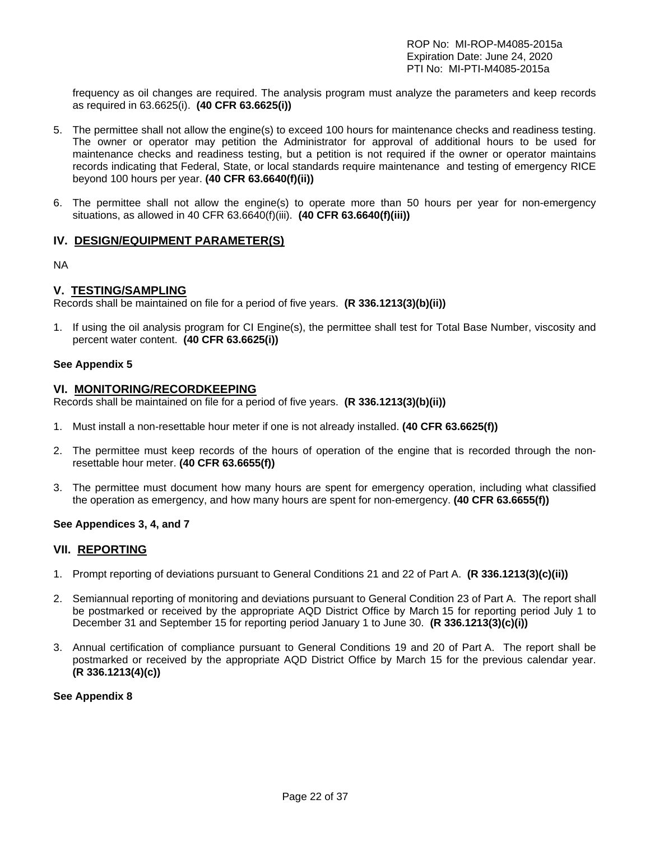frequency as oil changes are required. The analysis program must analyze the parameters and keep records as required in 63.6625(i). **(40 CFR 63.6625(i))**

- 5. The permittee shall not allow the engine(s) to exceed 100 hours for maintenance checks and readiness testing. The owner or operator may petition the Administrator for approval of additional hours to be used for maintenance checks and readiness testing, but a petition is not required if the owner or operator maintains records indicating that Federal, State, or local standards require maintenance and testing of emergency RICE beyond 100 hours per year. **(40 CFR 63.6640(f)(ii))**
- 6. The permittee shall not allow the engine(s) to operate more than 50 hours per year for non-emergency situations, as allowed in 40 CFR 63.6640(f)(iii). **(40 CFR 63.6640(f)(iii))**

### **IV. DESIGN/EQUIPMENT PARAMETER(S)**

NA

#### **V. TESTING/SAMPLING**

Records shall be maintained on file for a period of five years. **(R 336.1213(3)(b)(ii))**

1. If using the oil analysis program for CI Engine(s), the permittee shall test for Total Base Number, viscosity and percent water content. **(40 CFR 63.6625(i))**

#### **See Appendix 5**

#### **VI. MONITORING/RECORDKEEPING**

Records shall be maintained on file for a period of five years. **(R 336.1213(3)(b)(ii))**

- 1. Must install a non-resettable hour meter if one is not already installed. **(40 CFR 63.6625(f))**
- 2. The permittee must keep records of the hours of operation of the engine that is recorded through the nonresettable hour meter. **(40 CFR 63.6655(f))**
- 3. The permittee must document how many hours are spent for emergency operation, including what classified the operation as emergency, and how many hours are spent for non-emergency. **(40 CFR 63.6655(f))**

#### **See Appendices 3, 4, and 7**

#### **VII. REPORTING**

- 1. Prompt reporting of deviations pursuant to General Conditions 21 and 22 of Part A. **(R 336.1213(3)(c)(ii))**
- 2. Semiannual reporting of monitoring and deviations pursuant to General Condition 23 of Part A. The report shall be postmarked or received by the appropriate AQD District Office by March 15 for reporting period July 1 to December 31 and September 15 for reporting period January 1 to June 30. **(R 336.1213(3)(c)(i))**
- 3. Annual certification of compliance pursuant to General Conditions 19 and 20 of Part A. The report shall be postmarked or received by the appropriate AQD District Office by March 15 for the previous calendar year. **(R 336.1213(4)(c))**

#### **See Appendix 8**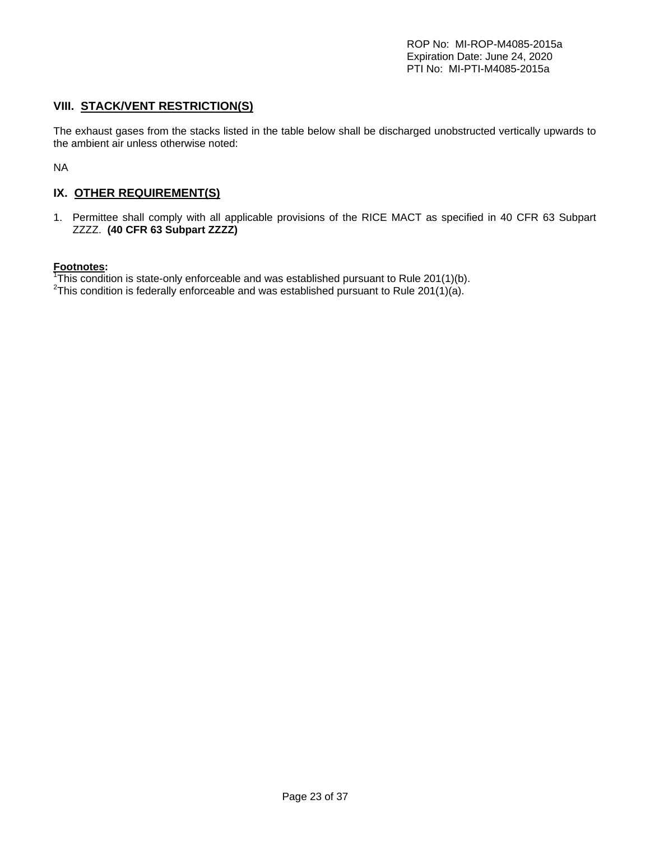## **VIII. STACK/VENT RESTRICTION(S)**

The exhaust gases from the stacks listed in the table below shall be discharged unobstructed vertically upwards to the ambient air unless otherwise noted:

NA

# **IX. OTHER REQUIREMENT(S)**

1. Permittee shall comply with all applicable provisions of the RICE MACT as specified in 40 CFR 63 Subpart ZZZZ. **(40 CFR 63 Subpart ZZZZ)**

#### **Footnotes:**

<sup>1</sup>This condition is state-only enforceable and was established pursuant to Rule 201(1)(b).  $2.2$ This condition is foderally enforceable and was established pursuant to Rule 201(1)(c).

<sup>2</sup>This condition is federally enforceable and was established pursuant to Rule 201(1)(a).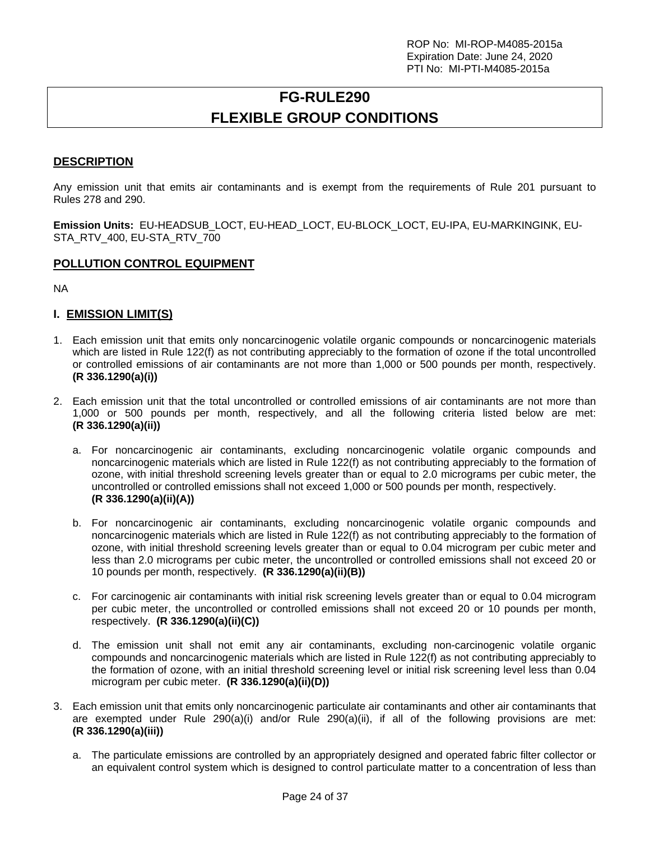# **FG-RULE290 FLEXIBLE GROUP CONDITIONS**

# **DESCRIPTION**

Any emission unit that emits air contaminants and is exempt from the requirements of Rule 201 pursuant to Rules 278 and 290.

**Emission Units:** EU-HEADSUB\_LOCT, EU-HEAD\_LOCT, EU-BLOCK\_LOCT, EU-IPA, EU-MARKINGINK, EU-STA\_RTV\_400, EU-STA\_RTV\_700

### **POLLUTION CONTROL EQUIPMENT**

NA

### **I. EMISSION LIMIT(S)**

- 1. Each emission unit that emits only noncarcinogenic volatile organic compounds or noncarcinogenic materials which are listed in Rule 122(f) as not contributing appreciably to the formation of ozone if the total uncontrolled or controlled emissions of air contaminants are not more than 1,000 or 500 pounds per month, respectively. **(R 336.1290(a)(i))**
- 2. Each emission unit that the total uncontrolled or controlled emissions of air contaminants are not more than 1,000 or 500 pounds per month, respectively, and all the following criteria listed below are met: **(R 336.1290(a)(ii))** 
	- a. For noncarcinogenic air contaminants, excluding noncarcinogenic volatile organic compounds and noncarcinogenic materials which are listed in Rule 122(f) as not contributing appreciably to the formation of ozone, with initial threshold screening levels greater than or equal to 2.0 micrograms per cubic meter, the uncontrolled or controlled emissions shall not exceed 1,000 or 500 pounds per month, respectively. **(R 336.1290(a)(ii)(A))**
	- b. For noncarcinogenic air contaminants, excluding noncarcinogenic volatile organic compounds and noncarcinogenic materials which are listed in Rule 122(f) as not contributing appreciably to the formation of ozone, with initial threshold screening levels greater than or equal to 0.04 microgram per cubic meter and less than 2.0 micrograms per cubic meter, the uncontrolled or controlled emissions shall not exceed 20 or 10 pounds per month, respectively. **(R 336.1290(a)(ii)(B))**
	- c. For carcinogenic air contaminants with initial risk screening levels greater than or equal to 0.04 microgram per cubic meter, the uncontrolled or controlled emissions shall not exceed 20 or 10 pounds per month, respectively. **(R 336.1290(a)(ii)(C))**
	- d. The emission unit shall not emit any air contaminants, excluding non-carcinogenic volatile organic compounds and noncarcinogenic materials which are listed in Rule 122(f) as not contributing appreciably to the formation of ozone, with an initial threshold screening level or initial risk screening level less than 0.04 microgram per cubic meter. **(R 336.1290(a)(ii)(D))**
- 3. Each emission unit that emits only noncarcinogenic particulate air contaminants and other air contaminants that are exempted under Rule 290(a)(i) and/or Rule 290(a)(ii), if all of the following provisions are met: **(R 336.1290(a)(iii))** 
	- a. The particulate emissions are controlled by an appropriately designed and operated fabric filter collector or an equivalent control system which is designed to control particulate matter to a concentration of less than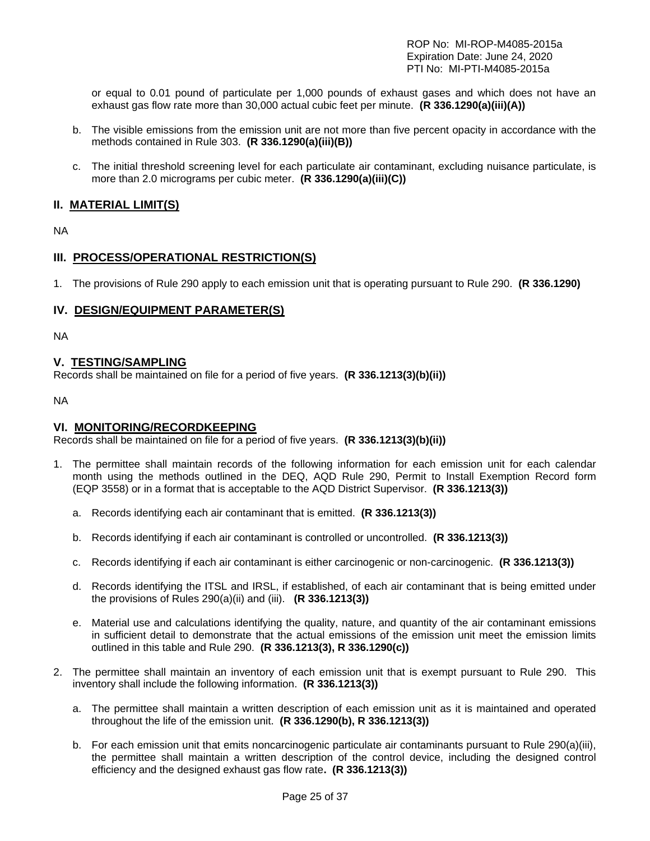ROP No: MI-ROP-M4085-2015a Expiration Date: June 24, 2020 PTI No: MI-PTI-M4085-2015a

or equal to 0.01 pound of particulate per 1,000 pounds of exhaust gases and which does not have an exhaust gas flow rate more than 30,000 actual cubic feet per minute. **(R 336.1290(a)(iii)(A))** 

- b. The visible emissions from the emission unit are not more than five percent opacity in accordance with the methods contained in Rule 303. **(R 336.1290(a)(iii)(B))**
- c. The initial threshold screening level for each particulate air contaminant, excluding nuisance particulate, is more than 2.0 micrograms per cubic meter. **(R 336.1290(a)(iii)(C))**

### **II. MATERIAL LIMIT(S)**

NA

## **III. PROCESS/OPERATIONAL RESTRICTION(S)**

1. The provisions of Rule 290 apply to each emission unit that is operating pursuant to Rule 290. **(R 336.1290)**

### **IV. DESIGN/EQUIPMENT PARAMETER(S)**

NA

## **V. TESTING/SAMPLING**

Records shall be maintained on file for a period of five years. **(R 336.1213(3)(b)(ii))**

NA

#### **VI. MONITORING/RECORDKEEPING**

Records shall be maintained on file for a period of five years. **(R 336.1213(3)(b)(ii))**

- 1. The permittee shall maintain records of the following information for each emission unit for each calendar month using the methods outlined in the DEQ, AQD Rule 290, Permit to Install Exemption Record form (EQP 3558) or in a format that is acceptable to the AQD District Supervisor. **(R 336.1213(3))** 
	- a. Records identifying each air contaminant that is emitted. **(R 336.1213(3))**
	- b. Records identifying if each air contaminant is controlled or uncontrolled. **(R 336.1213(3))**
	- c. Records identifying if each air contaminant is either carcinogenic or non-carcinogenic. **(R 336.1213(3))**
	- d. Records identifying the ITSL and IRSL, if established, of each air contaminant that is being emitted under the provisions of Rules 290(a)(ii) and (iii). **(R 336.1213(3))**
	- e. Material use and calculations identifying the quality, nature, and quantity of the air contaminant emissions in sufficient detail to demonstrate that the actual emissions of the emission unit meet the emission limits outlined in this table and Rule 290. **(R 336.1213(3), R 336.1290(c))**
- 2. The permittee shall maintain an inventory of each emission unit that is exempt pursuant to Rule 290. This inventory shall include the following information. **(R 336.1213(3))** 
	- a. The permittee shall maintain a written description of each emission unit as it is maintained and operated throughout the life of the emission unit. **(R 336.1290(b), R 336.1213(3))**
	- b. For each emission unit that emits noncarcinogenic particulate air contaminants pursuant to Rule 290(a)(iii), the permittee shall maintain a written description of the control device, including the designed control efficiency and the designed exhaust gas flow rate**. (R 336.1213(3))**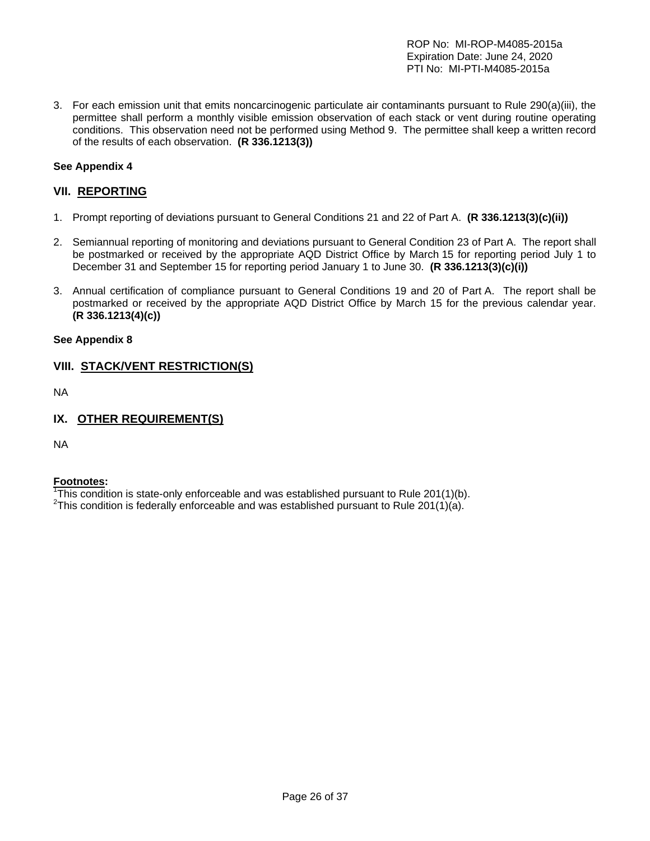ROP No: MI-ROP-M4085-2015a Expiration Date: June 24, 2020 PTI No: MI-PTI-M4085-2015a

3. For each emission unit that emits noncarcinogenic particulate air contaminants pursuant to Rule 290(a)(iii), the permittee shall perform a monthly visible emission observation of each stack or vent during routine operating conditions. This observation need not be performed using Method 9. The permittee shall keep a written record of the results of each observation. **(R 336.1213(3))**

### **See Appendix 4**

### **VII. REPORTING**

- 1. Prompt reporting of deviations pursuant to General Conditions 21 and 22 of Part A. **(R 336.1213(3)(c)(ii))**
- 2. Semiannual reporting of monitoring and deviations pursuant to General Condition 23 of Part A. The report shall be postmarked or received by the appropriate AQD District Office by March 15 for reporting period July 1 to December 31 and September 15 for reporting period January 1 to June 30. **(R 336.1213(3)(c)(i))**
- 3. Annual certification of compliance pursuant to General Conditions 19 and 20 of Part A. The report shall be postmarked or received by the appropriate AQD District Office by March 15 for the previous calendar year. **(R 336.1213(4)(c))**

#### **See Appendix 8**

### **VIII. STACK/VENT RESTRICTION(S)**

NA

### **IX. OTHER REQUIREMENT(S)**

NA

#### **Footnotes:**

<sup>1</sup>This condition is state-only enforceable and was established pursuant to Rule 201(1)(b). <sup>2</sup>This condition is foderally enforceable and was established pursuant to Rule 201(1)(c).

<sup>2</sup>This condition is federally enforceable and was established pursuant to Rule 201(1)(a).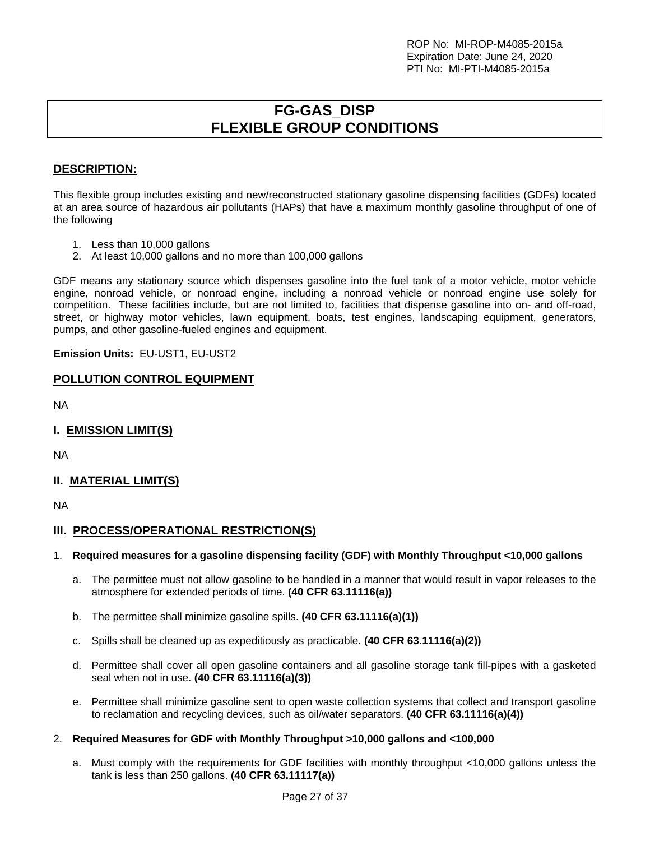# **FG-GAS\_DISP FLEXIBLE GROUP CONDITIONS**

# **DESCRIPTION:**

This flexible group includes existing and new/reconstructed stationary gasoline dispensing facilities (GDFs) located at an area source of hazardous air pollutants (HAPs) that have a maximum monthly gasoline throughput of one of the following

- 1. Less than 10,000 gallons
- 2. At least 10,000 gallons and no more than 100,000 gallons

GDF means any stationary source which dispenses gasoline into the fuel tank of a motor vehicle, motor vehicle engine, nonroad vehicle, or nonroad engine, including a nonroad vehicle or nonroad engine use solely for competition. These facilities include, but are not limited to, facilities that dispense gasoline into on- and off-road, street, or highway motor vehicles, lawn equipment, boats, test engines, landscaping equipment, generators, pumps, and other gasoline-fueled engines and equipment.

**Emission Units:** EU-UST1, EU-UST2

# **POLLUTION CONTROL EQUIPMENT**

NA

**I. EMISSION LIMIT(S)** 

NA

# **II. MATERIAL LIMIT(S)**

NA

# **III. PROCESS/OPERATIONAL RESTRICTION(S)**

### 1. **Required measures for a gasoline dispensing facility (GDF) with Monthly Throughput <10,000 gallons**

- a. The permittee must not allow gasoline to be handled in a manner that would result in vapor releases to the atmosphere for extended periods of time. **(40 CFR 63.11116(a))**
- b. The permittee shall minimize gasoline spills. **(40 CFR 63.11116(a)(1))**
- c. Spills shall be cleaned up as expeditiously as practicable. **(40 CFR 63.11116(a)(2))**
- d. Permittee shall cover all open gasoline containers and all gasoline storage tank fill-pipes with a gasketed seal when not in use. **(40 CFR 63.11116(a)(3))**
- e. Permittee shall minimize gasoline sent to open waste collection systems that collect and transport gasoline to reclamation and recycling devices, such as oil/water separators. **(40 CFR 63.11116(a)(4))**

### 2. **Required Measures for GDF with Monthly Throughput >10,000 gallons and <100,000**

a. Must comply with the requirements for GDF facilities with monthly throughput <10,000 gallons unless the tank is less than 250 gallons. **(40 CFR 63.11117(a))**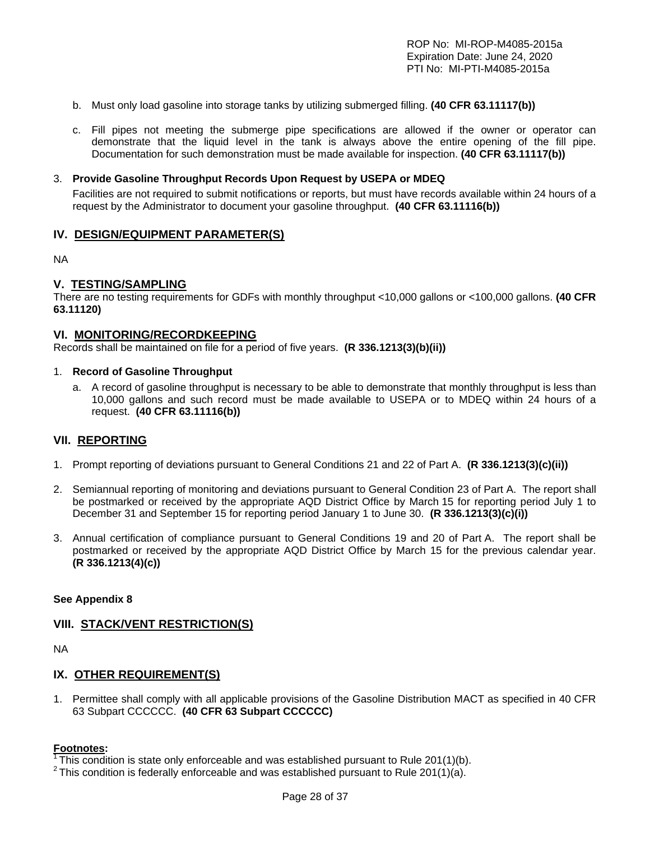- b. Must only load gasoline into storage tanks by utilizing submerged filling. **(40 CFR 63.11117(b))**
- c. Fill pipes not meeting the submerge pipe specifications are allowed if the owner or operator can demonstrate that the liquid level in the tank is always above the entire opening of the fill pipe. Documentation for such demonstration must be made available for inspection. **(40 CFR 63.11117(b))**

#### 3. **Provide Gasoline Throughput Records Upon Request by USEPA or MDEQ**

Facilities are not required to submit notifications or reports, but must have records available within 24 hours of a request by the Administrator to document your gasoline throughput. **(40 CFR 63.11116(b))**

#### **IV. DESIGN/EQUIPMENT PARAMETER(S)**

NA

## **V. TESTING/SAMPLING**

There are no testing requirements for GDFs with monthly throughput <10,000 gallons or <100,000 gallons. **(40 CFR 63.11120)** 

#### **VI. MONITORING/RECORDKEEPING**

Records shall be maintained on file for a period of five years. **(R 336.1213(3)(b)(ii))**

#### 1. **Record of Gasoline Throughput**

a. A record of gasoline throughput is necessary to be able to demonstrate that monthly throughput is less than 10,000 gallons and such record must be made available to USEPA or to MDEQ within 24 hours of a request. **(40 CFR 63.11116(b))**

#### **VII. REPORTING**

- 1. Prompt reporting of deviations pursuant to General Conditions 21 and 22 of Part A. **(R 336.1213(3)(c)(ii))**
- 2. Semiannual reporting of monitoring and deviations pursuant to General Condition 23 of Part A. The report shall be postmarked or received by the appropriate AQD District Office by March 15 for reporting period July 1 to December 31 and September 15 for reporting period January 1 to June 30. **(R 336.1213(3)(c)(i))**
- 3. Annual certification of compliance pursuant to General Conditions 19 and 20 of Part A. The report shall be postmarked or received by the appropriate AQD District Office by March 15 for the previous calendar year. **(R 336.1213(4)(c))**

#### **See Appendix 8**

#### **VIII. STACK/VENT RESTRICTION(S)**

NA

#### **IX. OTHER REQUIREMENT(S)**

1. Permittee shall comply with all applicable provisions of the Gasoline Distribution MACT as specified in 40 CFR 63 Subpart CCCCCC. **(40 CFR 63 Subpart CCCCCC)**

#### **Footnotes:**

- $\overline{1}$ This condition is state only enforceable and was established pursuant to Rule 201(1)(b).
- $2$  This condition is federally enforceable and was established pursuant to Rule 201(1)(a).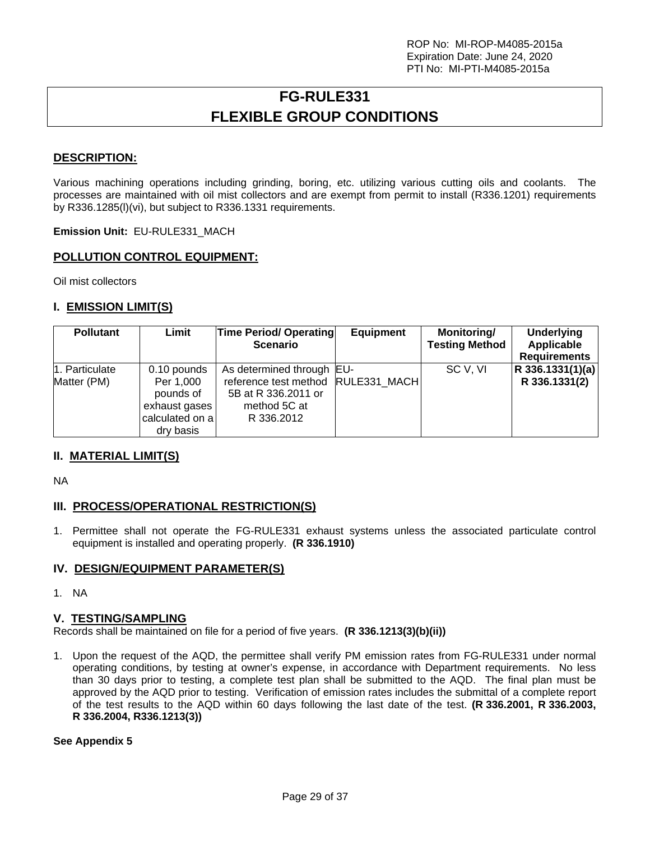# **FG-RULE331 FLEXIBLE GROUP CONDITIONS**

## **DESCRIPTION:**

Various machining operations including grinding, boring, etc. utilizing various cutting oils and coolants. The processes are maintained with oil mist collectors and are exempt from permit to install (R336.1201) requirements by R336.1285(l)(vi), but subject to R336.1331 requirements.

**Emission Unit:** EU-RULE331\_MACH

### **POLLUTION CONTROL EQUIPMENT:**

Oil mist collectors

## **I. EMISSION LIMIT(S)**

| <b>Pollutant</b>              | Limit                                                                                  | <b>Time Period/ Operating</b><br><b>Scenario</b>                                                          | <b>Equipment</b> | Monitoring/<br><b>Testing Method</b> | <b>Underlying</b><br>Applicable<br><b>Requirements</b> |
|-------------------------------|----------------------------------------------------------------------------------------|-----------------------------------------------------------------------------------------------------------|------------------|--------------------------------------|--------------------------------------------------------|
| 1. Particulate<br>Matter (PM) | 0.10 pounds<br>Per 1,000<br>pounds of<br>exhaust gases<br>calculated on a<br>dry basis | As determined through EU-<br>reference test method<br>5B at R 336, 2011 or<br>method 5C at<br>R 336, 2012 | RULE331 MACH     | SC V, VI                             | $ R$ 336.1331(1)(a)<br>R 336.1331(2)                   |

### **II. MATERIAL LIMIT(S)**

NA

### **III. PROCESS/OPERATIONAL RESTRICTION(S)**

1. Permittee shall not operate the FG-RULE331 exhaust systems unless the associated particulate control equipment is installed and operating properly. **(R 336.1910)** 

### **IV. DESIGN/EQUIPMENT PARAMETER(S)**

1. NA

#### **V. TESTING/SAMPLING**

Records shall be maintained on file for a period of five years. **(R 336.1213(3)(b)(ii))**

1. Upon the request of the AQD, the permittee shall verify PM emission rates from FG-RULE331 under normal operating conditions, by testing at owner's expense, in accordance with Department requirements. No less than 30 days prior to testing, a complete test plan shall be submitted to the AQD. The final plan must be approved by the AQD prior to testing. Verification of emission rates includes the submittal of a complete report of the test results to the AQD within 60 days following the last date of the test. **(R 336.2001, R 336.2003, R 336.2004, R336.1213(3))**

#### **See Appendix 5**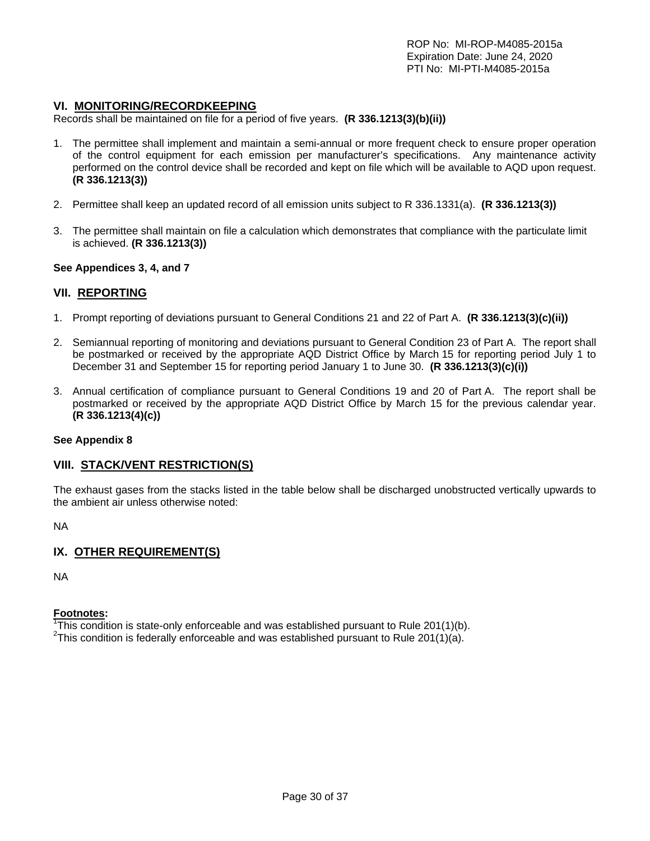#### **VI. MONITORING/RECORDKEEPING**

Records shall be maintained on file for a period of five years. **(R 336.1213(3)(b)(ii))**

- 1. The permittee shall implement and maintain a semi-annual or more frequent check to ensure proper operation of the control equipment for each emission per manufacturer's specifications. Any maintenance activity performed on the control device shall be recorded and kept on file which will be available to AQD upon request. **(R 336.1213(3))**
- 2. Permittee shall keep an updated record of all emission units subject to R 336.1331(a). **(R 336.1213(3))**
- 3. The permittee shall maintain on file a calculation which demonstrates that compliance with the particulate limit is achieved. **(R 336.1213(3))**

#### **See Appendices 3, 4, and 7**

#### **VII. REPORTING**

- 1. Prompt reporting of deviations pursuant to General Conditions 21 and 22 of Part A. **(R 336.1213(3)(c)(ii))**
- 2. Semiannual reporting of monitoring and deviations pursuant to General Condition 23 of Part A. The report shall be postmarked or received by the appropriate AQD District Office by March 15 for reporting period July 1 to December 31 and September 15 for reporting period January 1 to June 30. **(R 336.1213(3)(c)(i))**
- 3. Annual certification of compliance pursuant to General Conditions 19 and 20 of Part A. The report shall be postmarked or received by the appropriate AQD District Office by March 15 for the previous calendar year. **(R 336.1213(4)(c))**

#### **See Appendix 8**

#### **VIII. STACK/VENT RESTRICTION(S)**

The exhaust gases from the stacks listed in the table below shall be discharged unobstructed vertically upwards to the ambient air unless otherwise noted:

NA

### **IX. OTHER REQUIREMENT(S)**

NA

#### **Footnotes:**

<sup>1</sup>This condition is state-only enforceable and was established pursuant to Rule 201(1)(b).  $2.2$ This condition is foderally enforceable and was established pursuant to Rule 201(1)(c).

<sup>2</sup>This condition is federally enforceable and was established pursuant to Rule 201(1)(a).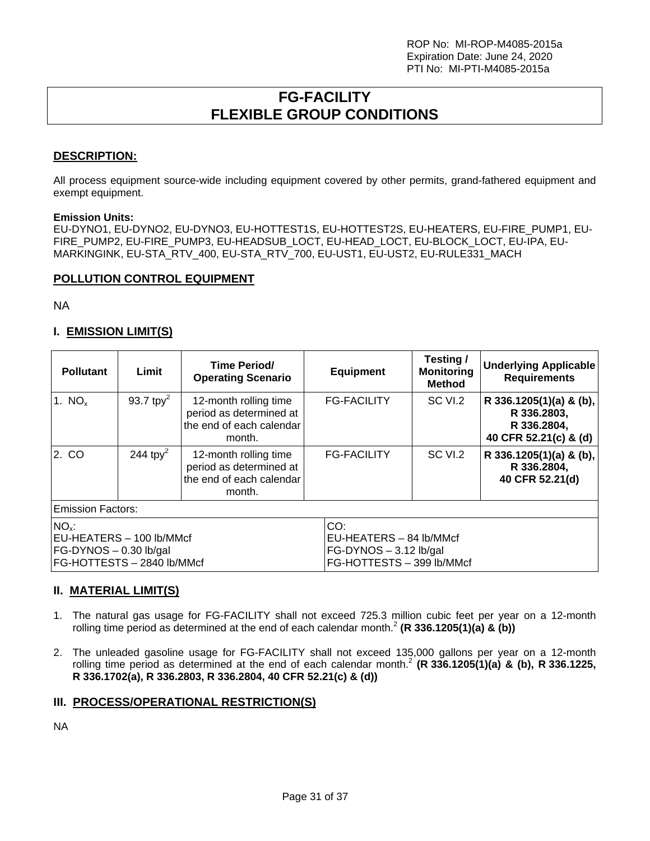# **FG-FACILITY FLEXIBLE GROUP CONDITIONS**

## **DESCRIPTION:**

All process equipment source-wide including equipment covered by other permits, grand-fathered equipment and exempt equipment.

#### **Emission Units:**

EU-DYNO1, EU-DYNO2, EU-DYNO3, EU-HOTTEST1S, EU-HOTTEST2S, EU-HEATERS, EU-FIRE\_PUMP1, EU-FIRE\_PUMP2, EU-FIRE\_PUMP3, EU-HEADSUB\_LOCT, EU-HEAD\_LOCT, EU-BLOCK\_LOCT, EU-IPA, EU-MARKINGINK, EU-STA\_RTV\_400, EU-STA\_RTV\_700, EU-UST1, EU-UST2, EU-RULE331\_MACH

## **POLLUTION CONTROL EQUIPMENT**

NA

# **I. EMISSION LIMIT(S)**

| <b>Pollutant</b>                                                                            | Limit         | Time Period/<br><b>Operating Scenario</b>                                              | <b>Equipment</b>                                                                        | Testing/<br><b>Monitoring</b><br><b>Method</b> | <b>Underlying Applicable</b><br><b>Requirements</b>                            |  |
|---------------------------------------------------------------------------------------------|---------------|----------------------------------------------------------------------------------------|-----------------------------------------------------------------------------------------|------------------------------------------------|--------------------------------------------------------------------------------|--|
| 1. $NOx$                                                                                    | 93.7 tp $v^2$ | 12-month rolling time<br>period as determined at<br>the end of each calendar<br>month. | <b>FG-FACILITY</b>                                                                      | SC VI.2                                        | R 336.1205(1)(a) & (b),<br>R 336.2803,<br>R 336.2804,<br>40 CFR 52.21(c) & (d) |  |
| 2. CO                                                                                       | 244 tpy $^2$  | 12-month rolling time<br>period as determined at<br>the end of each calendar<br>month. | <b>FG-FACILITY</b>                                                                      | SC VI.2                                        | R 336.1205(1)(a) & (b),<br>R 336.2804,<br>40 CFR 52.21(d)                      |  |
| <b>Emission Factors:</b>                                                                    |               |                                                                                        |                                                                                         |                                                |                                                                                |  |
| $NOx$ :<br>EU-HEATERS - 100 lb/MMcf<br>FG-DYNOS - 0.30 lb/gal<br>FG-HOTTESTS - 2840 lb/MMcf |               |                                                                                        | CO:<br>EU-HEATERS - 84 lb/MMcf<br>$FG-DYNOS - 3.12 lb/gal$<br>FG-HOTTESTS - 399 lb/MMcf |                                                |                                                                                |  |

### **II. MATERIAL LIMIT(S)**

- 1. The natural gas usage for FG-FACILITY shall not exceed 725.3 million cubic feet per year on a 12-month rolling time period as determined at the end of each calendar month.<sup>2</sup> (R 336.1205(1)(a) & (b))
- 2. The unleaded gasoline usage for FG-FACILITY shall not exceed 135,000 gallons per year on a 12-month rolling time period as determined at the end of each calendar month.2 **(R 336.1205(1)(a) & (b), R 336.1225, R 336.1702(a), R 336.2803, R 336.2804, 40 CFR 52.21(c) & (d))**

## **III. PROCESS/OPERATIONAL RESTRICTION(S)**

NA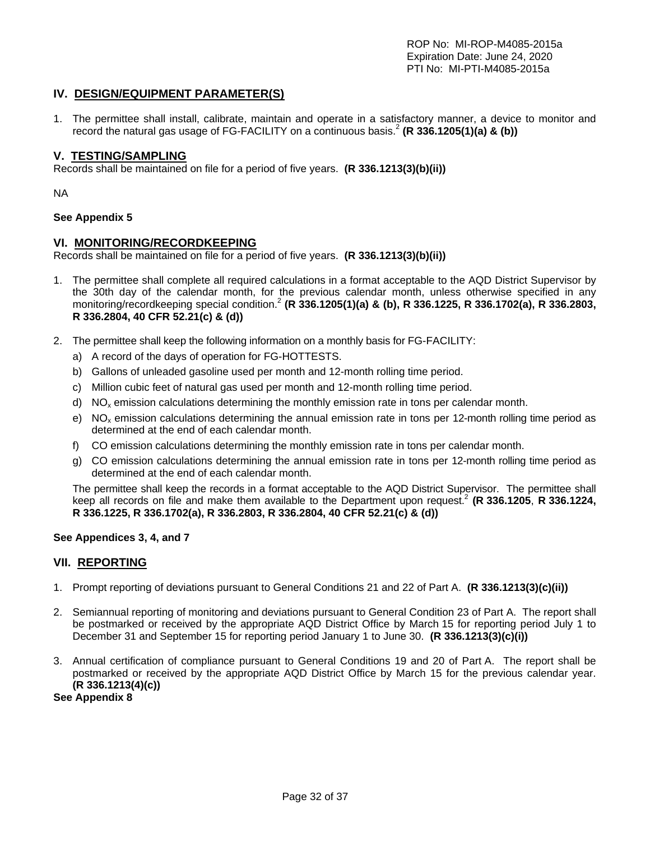## **IV. DESIGN/EQUIPMENT PARAMETER(S)**

1. The permittee shall install, calibrate, maintain and operate in a satisfactory manner, a device to monitor and record the natural gas usage of FG-FACILITY on a continuous basis.<sup>2</sup> (R 336.1205(1)(a) & (b))

#### **V. TESTING/SAMPLING**

Records shall be maintained on file for a period of five years. **(R 336.1213(3)(b)(ii))**

NA

#### **See Appendix 5**

#### **VI. MONITORING/RECORDKEEPING**

Records shall be maintained on file for a period of five years. **(R 336.1213(3)(b)(ii))**

- 1. The permittee shall complete all required calculations in a format acceptable to the AQD District Supervisor by the 30th day of the calendar month, for the previous calendar month, unless otherwise specified in any monitoring/recordkeeping special condition.2 **(R 336.1205(1)(a) & (b), R 336.1225, R 336.1702(a), R 336.2803, R 336.2804, 40 CFR 52.21(c) & (d))**
- 2. The permittee shall keep the following information on a monthly basis for FG-FACILITY:
	- a) A record of the days of operation for FG-HOTTESTS.
	- b) Gallons of unleaded gasoline used per month and 12-month rolling time period.
	- c) Million cubic feet of natural gas used per month and 12-month rolling time period.
	- d)  $NO<sub>x</sub>$  emission calculations determining the monthly emission rate in tons per calendar month.
	- e)  $NO<sub>x</sub>$  emission calculations determining the annual emission rate in tons per 12-month rolling time period as determined at the end of each calendar month.
	- f) CO emission calculations determining the monthly emission rate in tons per calendar month.
	- g) CO emission calculations determining the annual emission rate in tons per 12-month rolling time period as determined at the end of each calendar month.

The permittee shall keep the records in a format acceptable to the AQD District Supervisor. The permittee shall keep all records on file and make them available to the Department upon request.<sup>2</sup> (R 336.1205, R 336.1224, **R 336.1225, R 336.1702(a), R 336.2803, R 336.2804, 40 CFR 52.21(c) & (d))** 

#### **See Appendices 3, 4, and 7**

### **VII. REPORTING**

- 1. Prompt reporting of deviations pursuant to General Conditions 21 and 22 of Part A. **(R 336.1213(3)(c)(ii))**
- 2. Semiannual reporting of monitoring and deviations pursuant to General Condition 23 of Part A. The report shall be postmarked or received by the appropriate AQD District Office by March 15 for reporting period July 1 to December 31 and September 15 for reporting period January 1 to June 30. **(R 336.1213(3)(c)(i))**
- 3. Annual certification of compliance pursuant to General Conditions 19 and 20 of Part A. The report shall be postmarked or received by the appropriate AQD District Office by March 15 for the previous calendar year. **(R 336.1213(4)(c))**

**See Appendix 8**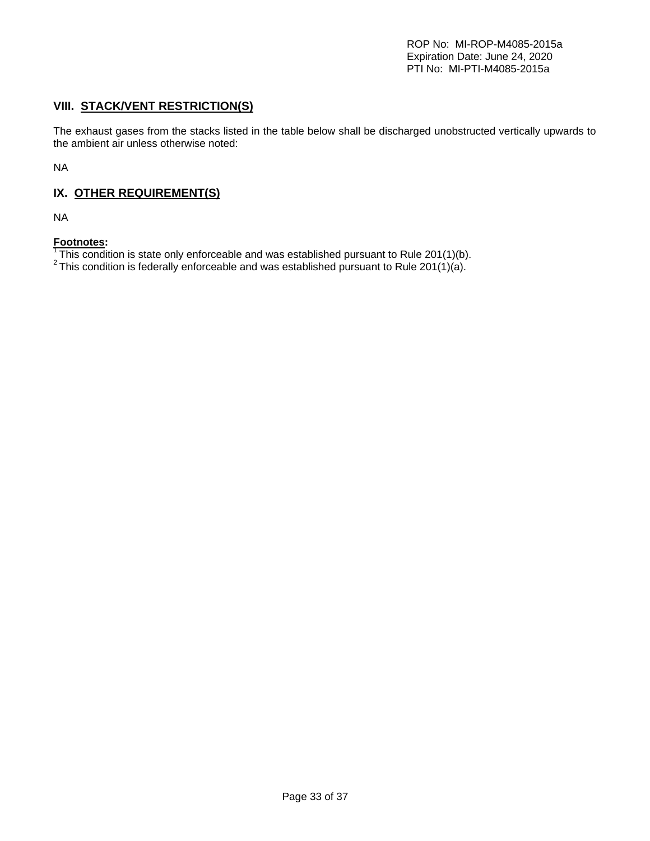# **VIII. STACK/VENT RESTRICTION(S)**

The exhaust gases from the stacks listed in the table below shall be discharged unobstructed vertically upwards to the ambient air unless otherwise noted:

NA

# **IX. OTHER REQUIREMENT(S)**

NA

### **Footnotes:**

 $\overline{1}$ This condition is state only enforceable and was established pursuant to Rule 201(1)(b).

<sup>2</sup> This condition is federally enforceable and was established pursuant to Rule 201(1)(a).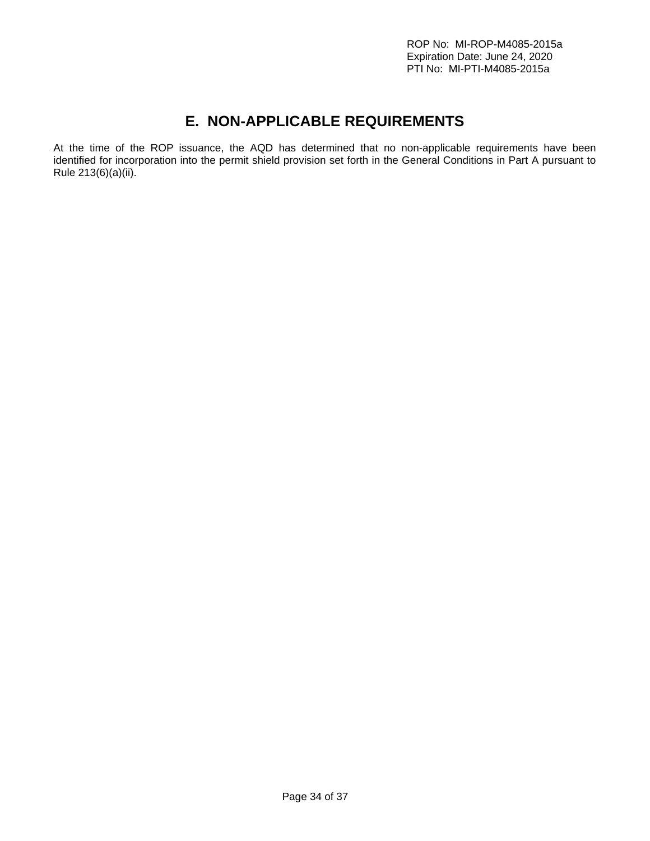# **E. NON-APPLICABLE REQUIREMENTS**

At the time of the ROP issuance, the AQD has determined that no non-applicable requirements have been identified for incorporation into the permit shield provision set forth in the General Conditions in Part A pursuant to Rule 213(6)(a)(ii).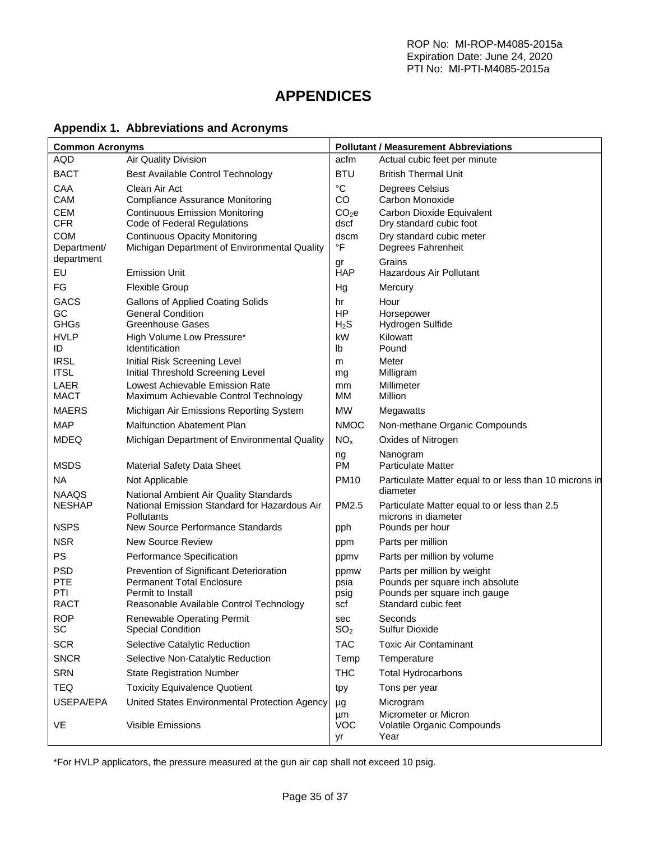# **APPENDICES**

# **Appendix 1. Abbreviations and Acronyms**

| <b>Common Acronyms</b> |                                                                          | <b>Pollutant / Measurement Abbreviations</b> |                                                                     |  |
|------------------------|--------------------------------------------------------------------------|----------------------------------------------|---------------------------------------------------------------------|--|
| AQD                    | Air Quality Division                                                     | acfm                                         | Actual cubic feet per minute                                        |  |
| <b>BACT</b>            | Best Available Control Technology                                        | <b>BTU</b>                                   | <b>British Thermal Unit</b>                                         |  |
| CAA<br>CAM             | Clean Air Act<br><b>Compliance Assurance Monitoring</b>                  | $^{\circ}C$<br>CO                            | Degrees Celsius<br>Carbon Monoxide                                  |  |
| <b>CEM</b>             | <b>Continuous Emission Monitoring</b>                                    | CO <sub>2</sub> e                            | Carbon Dioxide Equivalent                                           |  |
| <b>CFR</b>             | Code of Federal Regulations                                              | dscf                                         | Dry standard cubic foot                                             |  |
| <b>COM</b>             | <b>Continuous Opacity Monitoring</b>                                     | dscm                                         | Dry standard cubic meter                                            |  |
| Department/            | Michigan Department of Environmental Quality                             | $\mathsf{P}$                                 | Degrees Fahrenheit                                                  |  |
| department             |                                                                          | gr                                           | Grains                                                              |  |
| EU                     | <b>Emission Unit</b>                                                     | <b>HAP</b>                                   | Hazardous Air Pollutant                                             |  |
| FG                     | <b>Flexible Group</b>                                                    | Hg                                           | Mercury                                                             |  |
| <b>GACS</b>            | <b>Gallons of Applied Coating Solids</b><br><b>General Condition</b>     | hr<br>HP                                     | Hour                                                                |  |
| GC<br><b>GHGs</b>      | Greenhouse Gases                                                         | H <sub>2</sub> S                             | Horsepower<br>Hydrogen Sulfide                                      |  |
| <b>HVLP</b>            | High Volume Low Pressure*                                                | kW                                           | Kilowatt                                                            |  |
| ID                     | Identification                                                           | lb                                           | Pound                                                               |  |
| <b>IRSL</b>            | Initial Risk Screening Level                                             | m                                            | Meter                                                               |  |
| <b>ITSL</b>            | Initial Threshold Screening Level                                        | mg                                           | Milligram                                                           |  |
| LAER<br><b>MACT</b>    | Lowest Achievable Emission Rate<br>Maximum Achievable Control Technology | mm<br>MМ                                     | Millimeter<br>Million                                               |  |
| <b>MAERS</b>           | Michigan Air Emissions Reporting System                                  | <b>MW</b>                                    | Megawatts                                                           |  |
| <b>MAP</b>             | <b>Malfunction Abatement Plan</b>                                        | <b>NMOC</b>                                  | Non-methane Organic Compounds                                       |  |
| <b>MDEQ</b>            | Michigan Department of Environmental Quality                             | NO <sub>x</sub>                              | Oxides of Nitrogen                                                  |  |
|                        |                                                                          |                                              |                                                                     |  |
| <b>MSDS</b>            | <b>Material Safety Data Sheet</b>                                        | ng<br><b>PM</b>                              | Nanogram<br><b>Particulate Matter</b>                               |  |
| NA                     | Not Applicable                                                           | <b>PM10</b>                                  | Particulate Matter equal to or less than 10 microns in              |  |
| <b>NAAQS</b>           | National Ambient Air Quality Standards                                   |                                              | diameter                                                            |  |
| <b>NESHAP</b>          | National Emission Standard for Hazardous Air<br>Pollutants               | PM2.5                                        | Particulate Matter equal to or less than 2.5<br>microns in diameter |  |
| <b>NSPS</b>            | New Source Performance Standards                                         | pph                                          | Pounds per hour                                                     |  |
| <b>NSR</b>             | <b>New Source Review</b>                                                 | ppm                                          | Parts per million                                                   |  |
| PS                     | Performance Specification                                                | ppmy                                         | Parts per million by volume                                         |  |
| <b>PSD</b>             | Prevention of Significant Deterioration                                  | ppmw                                         | Parts per million by weight                                         |  |
| <b>PTE</b><br>PTI      | <b>Permanent Total Enclosure</b>                                         | psia                                         | Pounds per square inch absolute                                     |  |
| <b>RACT</b>            | Permit to Install<br>Reasonable Available Control Technology             | psig<br>scf                                  | Pounds per square inch gauge<br>Standard cubic feet                 |  |
| <b>ROP</b>             | Renewable Operating Permit                                               | sec                                          | Seconds                                                             |  |
| SC                     | <b>Special Condition</b>                                                 | SO <sub>2</sub>                              | <b>Sulfur Dioxide</b>                                               |  |
| <b>SCR</b>             | Selective Catalytic Reduction                                            | <b>TAC</b>                                   | <b>Toxic Air Contaminant</b>                                        |  |
| <b>SNCR</b>            | Selective Non-Catalytic Reduction                                        | Temp                                         | Temperature                                                         |  |
| <b>SRN</b>             | <b>State Registration Number</b>                                         | <b>THC</b>                                   | <b>Total Hydrocarbons</b>                                           |  |
| <b>TEQ</b>             | <b>Toxicity Equivalence Quotient</b>                                     | tpy                                          | Tons per year                                                       |  |
| USEPA/EPA              | United States Environmental Protection Agency                            | μg                                           | Microgram                                                           |  |
|                        |                                                                          | μm                                           | Micrometer or Micron                                                |  |
| VE                     | Visible Emissions                                                        | <b>VOC</b><br>уr                             | Volatile Organic Compounds<br>Year                                  |  |
|                        |                                                                          |                                              |                                                                     |  |

\*For HVLP applicators, the pressure measured at the gun air cap shall not exceed 10 psig.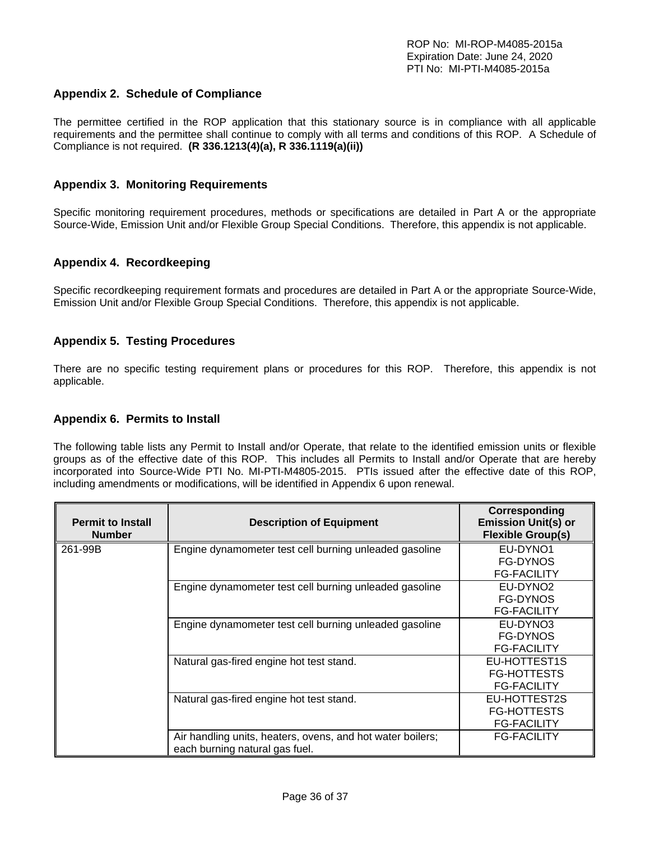### **Appendix 2. Schedule of Compliance**

The permittee certified in the ROP application that this stationary source is in compliance with all applicable requirements and the permittee shall continue to comply with all terms and conditions of this ROP. A Schedule of Compliance is not required. **(R 336.1213(4)(a), R 336.1119(a)(ii))** 

#### **Appendix 3. Monitoring Requirements**

Specific monitoring requirement procedures, methods or specifications are detailed in Part A or the appropriate Source-Wide, Emission Unit and/or Flexible Group Special Conditions. Therefore, this appendix is not applicable.

#### **Appendix 4. Recordkeeping**

Specific recordkeeping requirement formats and procedures are detailed in Part A or the appropriate Source-Wide, Emission Unit and/or Flexible Group Special Conditions. Therefore, this appendix is not applicable.

#### **Appendix 5. Testing Procedures**

There are no specific testing requirement plans or procedures for this ROP. Therefore, this appendix is not applicable.

#### **Appendix 6. Permits to Install**

The following table lists any Permit to Install and/or Operate, that relate to the identified emission units or flexible groups as of the effective date of this ROP. This includes all Permits to Install and/or Operate that are hereby incorporated into Source-Wide PTI No. MI-PTI-M4805-2015. PTIs issued after the effective date of this ROP, including amendments or modifications, will be identified in Appendix 6 upon renewal.

| <b>Permit to Install</b><br><b>Number</b> | <b>Description of Equipment</b>                                                              | Corresponding<br><b>Emission Unit(s) or</b><br><b>Flexible Group(s)</b> |
|-------------------------------------------|----------------------------------------------------------------------------------------------|-------------------------------------------------------------------------|
| 261-99B                                   | Engine dynamometer test cell burning unleaded gasoline                                       | EU-DYNO1<br><b>FG-DYNOS</b><br><b>FG-FACILITY</b>                       |
|                                           | Engine dynamometer test cell burning unleaded gasoline                                       | EU-DYNO <sub>2</sub><br><b>FG-DYNOS</b><br><b>FG-FACILITY</b>           |
|                                           | Engine dynamometer test cell burning unleaded gasoline                                       | EU-DYNO3<br><b>FG-DYNOS</b><br><b>FG-FACILITY</b>                       |
|                                           | Natural gas-fired engine hot test stand.                                                     | EU-HOTTEST1S<br><b>FG-HOTTESTS</b><br><b>FG-FACILITY</b>                |
|                                           | Natural gas-fired engine hot test stand.                                                     | EU-HOTTEST2S<br><b>FG-HOTTESTS</b><br><b>FG-FACILITY</b>                |
|                                           | Air handling units, heaters, ovens, and hot water boilers;<br>each burning natural gas fuel. | <b>FG-FACILITY</b>                                                      |